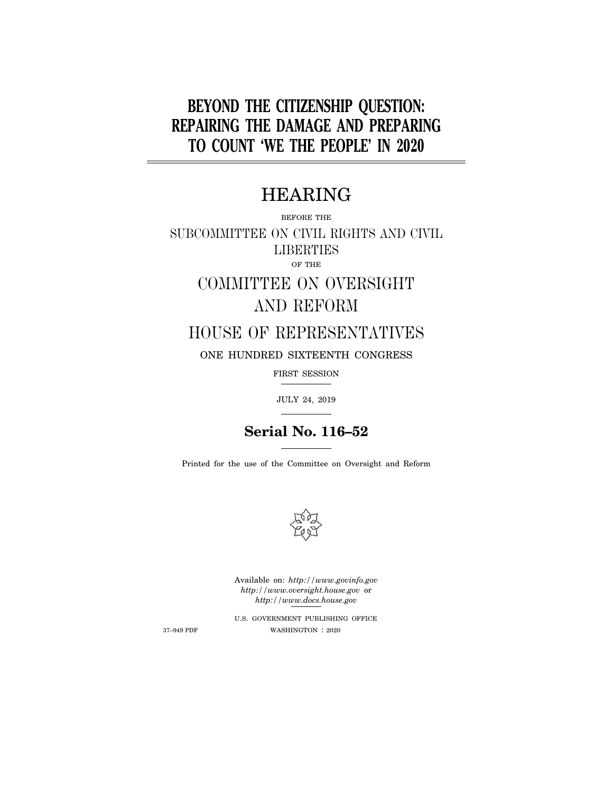# **BEYOND THE CITIZENSHIP QUESTION: REPAIRING THE DAMAGE AND PREPARING TO COUNT 'WE THE PEOPLE' IN 2020**

## HEARING

BEFORE THE

SUBCOMMITTEE ON CIVIL RIGHTS AND CIVIL **LIBERTIES** OF THE

# COMMITTEE ON OVERSIGHT AND REFORM

## HOUSE OF REPRESENTATIVES

ONE HUNDRED SIXTEENTH CONGRESS

FIRST SESSION

JULY 24, 2019

## **Serial No. 116–52**

Printed for the use of the Committee on Oversight and Reform



Available on: *http://www.govinfo.gov http://www.oversight.house.gov* or *http://www.docs.house.gov* 

U.S. GOVERNMENT PUBLISHING OFFICE 37–949 PDF WASHINGTON : 2020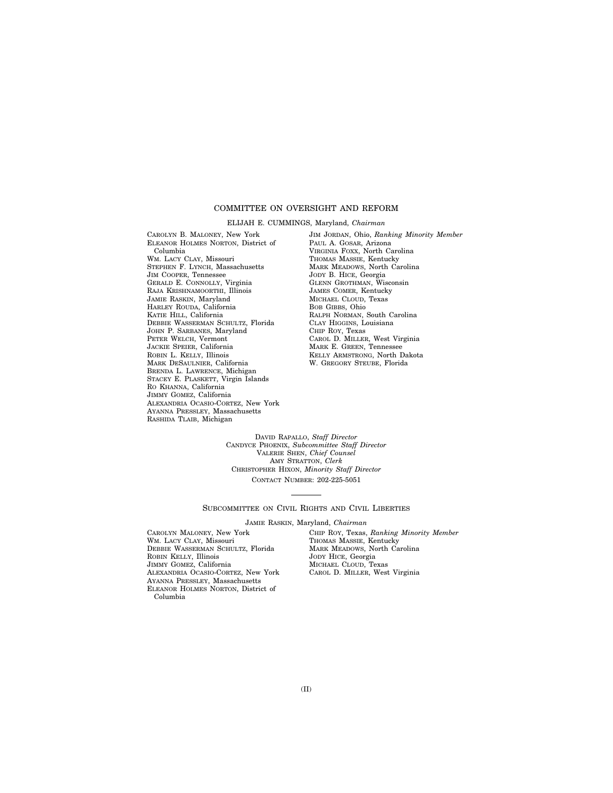### COMMITTEE ON OVERSIGHT AND REFORM

ELIJAH E. CUMMINGS, Maryland, *Chairman* 

CAROLYN B. MALONEY, New York ELEANOR HOLMES NORTON, District of Columbia WM. LACY CLAY, Missouri STEPHEN F. LYNCH, Massachusetts JIM COOPER, Tennessee GERALD E. CONNOLLY, Virginia RAJA KRISHNAMOORTHI, Illinois JAMIE RASKIN, Maryland HARLEY ROUDA, California KATIE HILL, California DEBBIE WASSERMAN SCHULTZ, Florida JOHN P. SARBANES, Maryland PETER WELCH, Vermont JACKIE SPEIER, California ROBIN L. KELLY, Illinois MARK DESAULNIER, California BRENDA L. LAWRENCE, Michigan STACEY E. PLASKETT, Virgin Islands RO KHANNA, California JIMMY GOMEZ, California ALEXANDRIA OCASIO-CORTEZ, New York AYANNA PRESSLEY, Massachusetts RASHIDA TLAIB, Michigan

JIM JORDAN, Ohio, *Ranking Minority Member*  PAUL A. GOSAR, Arizona VIRGINIA FOXX, North Carolina THOMAS MASSIE, Kentucky MARK MEADOWS, North Carolina JODY B. HICE, Georgia GLENN GROTHMAN, Wisconsin JAMES COMER, Kentucky MICHAEL CLOUD, Texas BOB GIBBS, Ohio RALPH NORMAN, South Carolina CLAY HIGGINS, Louisiana CHIP ROY, Texas CAROL D. MILLER, West Virginia MARK E. GREEN, Tennessee KELLY ARMSTRONG, North Dakota W. GREGORY STEUBE, Florida

DAVID RAPALLO, *Staff Director*  CANDYCE PHOENIX, *Subcommittee Staff Director*  VALERIE SHEN, *Chief Counsel*  AMY STRATTON, *Clerk*  CHRISTOPHER HIXON, *Minority Staff Director*  CONTACT NUMBER: 202-225-5051

#### SUBCOMMITTEE ON CIVIL RIGHTS AND CIVIL LIBERTIES

JAMIE RASKIN, Maryland, *Chairman* 

CAROLYN MALONEY, New York WM. LACY CLAY, Missouri DEBBIE WASSERMAN SCHULTZ, Florida ROBIN KELLY, Illinois JIMMY GOMEZ, California ALEXANDRIA OCASIO-CORTEZ, New York AYANNA PRESSLEY, Massachusetts ELEANOR HOLMES NORTON, District of Columbia

CHIP ROY, Texas, *Ranking Minority Member*  THOMAS MASSIE, Kentucky MARK MEADOWS, North Carolina JODY HICE, Georgia MICHAEL CLOUD, Texas CAROL D. MILLER, West Virginia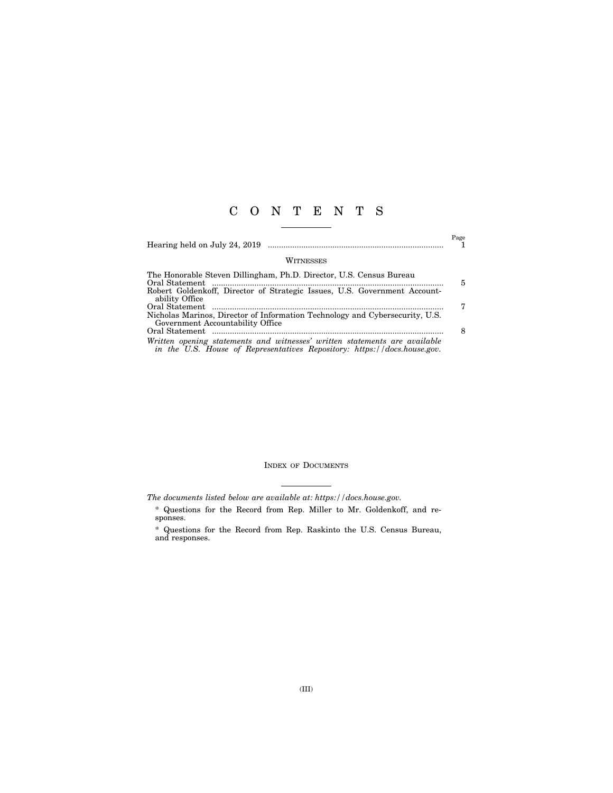### C O N T E N T S

|                                                                                                                                                                                      | Page |
|--------------------------------------------------------------------------------------------------------------------------------------------------------------------------------------|------|
| WITNESSES                                                                                                                                                                            |      |
| The Honorable Steven Dillingham, Ph.D. Director, U.S. Census Bureau<br>Oral Statement<br>Robert Goldenkoff, Director of Strategic Issues, U.S. Government Account-<br>ability Office | 5    |
| Oral Statement<br>Nicholas Marinos, Director of Information Technology and Cybersecurity, U.S.<br>Government Accountability Office                                                   | 7    |
| Written opening statements and witnesses' written statements are available                                                                                                           |      |

*in the U.S. House of Representatives Repository: https://docs.house.gov.* 

### INDEX OF DOCUMENTS

*The documents listed below are available at: https://docs.house.gov.* 

<sup>\*</sup> Questions for the Record from Rep. Miller to Mr. Goldenkoff, and responses.

<sup>\*</sup> Questions for the Record from Rep. Raskinto the U.S. Census Bureau, and responses.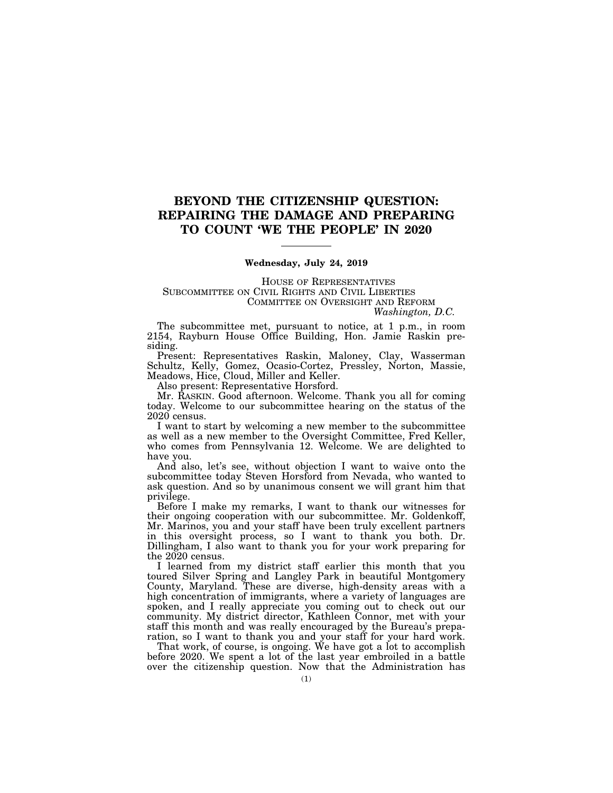### **BEYOND THE CITIZENSHIP QUESTION: REPAIRING THE DAMAGE AND PREPARING TO COUNT 'WE THE PEOPLE' IN 2020**

### **Wednesday, July 24, 2019**

HOUSE OF REPRESENTATIVES SUBCOMMITTEE ON CIVIL RIGHTS AND CIVIL LIBERTIES COMMITTEE ON OVERSIGHT AND REFORM *Washington, D.C.* 

The subcommittee met, pursuant to notice, at 1 p.m., in room 2154, Rayburn House Office Building, Hon. Jamie Raskin presiding.

Present: Representatives Raskin, Maloney, Clay, Wasserman Schultz, Kelly, Gomez, Ocasio-Cortez, Pressley, Norton, Massie, Meadows, Hice, Cloud, Miller and Keller.

Also present: Representative Horsford.

Mr. RASKIN. Good afternoon. Welcome. Thank you all for coming today. Welcome to our subcommittee hearing on the status of the 2020 census.

I want to start by welcoming a new member to the subcommittee as well as a new member to the Oversight Committee, Fred Keller, who comes from Pennsylvania 12. Welcome. We are delighted to have you.

And also, let's see, without objection I want to waive onto the subcommittee today Steven Horsford from Nevada, who wanted to ask question. And so by unanimous consent we will grant him that privilege.

Before I make my remarks, I want to thank our witnesses for their ongoing cooperation with our subcommittee. Mr. Goldenkoff, Mr. Marinos, you and your staff have been truly excellent partners in this oversight process, so I want to thank you both. Dr. Dillingham, I also want to thank you for your work preparing for the 2020 census.

I learned from my district staff earlier this month that you toured Silver Spring and Langley Park in beautiful Montgomery County, Maryland. These are diverse, high-density areas with a high concentration of immigrants, where a variety of languages are spoken, and I really appreciate you coming out to check out our community. My district director, Kathleen Connor, met with your staff this month and was really encouraged by the Bureau's preparation, so I want to thank you and your staff for your hard work.

That work, of course, is ongoing. We have got a lot to accomplish before 2020. We spent a lot of the last year embroiled in a battle over the citizenship question. Now that the Administration has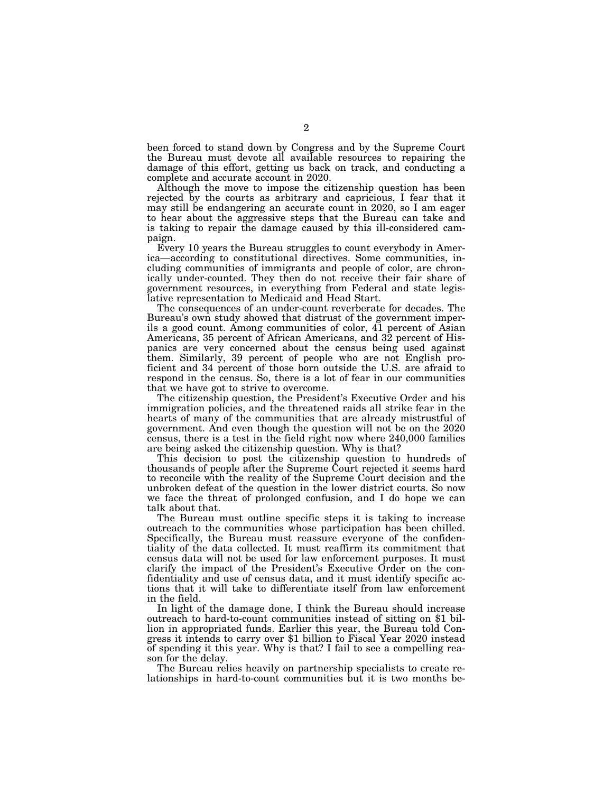been forced to stand down by Congress and by the Supreme Court the Bureau must devote all available resources to repairing the damage of this effort, getting us back on track, and conducting a complete and accurate account in 2020.

Although the move to impose the citizenship question has been rejected by the courts as arbitrary and capricious, I fear that it may still be endangering an accurate count in 2020, so I am eager to hear about the aggressive steps that the Bureau can take and is taking to repair the damage caused by this ill-considered campaign.

Every 10 years the Bureau struggles to count everybody in America—according to constitutional directives. Some communities, including communities of immigrants and people of color, are chronically under-counted. They then do not receive their fair share of government resources, in everything from Federal and state legislative representation to Medicaid and Head Start.

The consequences of an under-count reverberate for decades. The Bureau's own study showed that distrust of the government imperils a good count. Among communities of color, 41 percent of Asian Americans, 35 percent of African Americans, and 32 percent of Hispanics are very concerned about the census being used against them. Similarly, 39 percent of people who are not English proficient and 34 percent of those born outside the U.S. are afraid to respond in the census. So, there is a lot of fear in our communities that we have got to strive to overcome.

The citizenship question, the President's Executive Order and his immigration policies, and the threatened raids all strike fear in the hearts of many of the communities that are already mistrustful of government. And even though the question will not be on the 2020 census, there is a test in the field right now where 240,000 families are being asked the citizenship question. Why is that?

This decision to post the citizenship question to hundreds of thousands of people after the Supreme Court rejected it seems hard to reconcile with the reality of the Supreme Court decision and the unbroken defeat of the question in the lower district courts. So now we face the threat of prolonged confusion, and I do hope we can talk about that.

The Bureau must outline specific steps it is taking to increase outreach to the communities whose participation has been chilled. Specifically, the Bureau must reassure everyone of the confidentiality of the data collected. It must reaffirm its commitment that census data will not be used for law enforcement purposes. It must clarify the impact of the President's Executive Order on the confidentiality and use of census data, and it must identify specific actions that it will take to differentiate itself from law enforcement in the field.

In light of the damage done, I think the Bureau should increase outreach to hard-to-count communities instead of sitting on \$1 billion in appropriated funds. Earlier this year, the Bureau told Congress it intends to carry over \$1 billion to Fiscal Year 2020 instead of spending it this year. Why is that? I fail to see a compelling reason for the delay.

The Bureau relies heavily on partnership specialists to create relationships in hard-to-count communities but it is two months be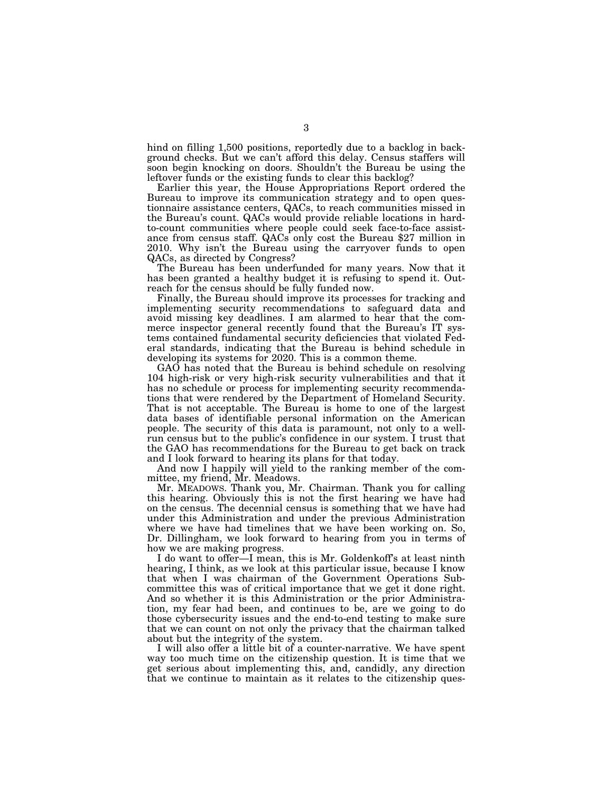hind on filling 1,500 positions, reportedly due to a backlog in background checks. But we can't afford this delay. Census staffers will soon begin knocking on doors. Shouldn't the Bureau be using the leftover funds or the existing funds to clear this backlog?

Earlier this year, the House Appropriations Report ordered the Bureau to improve its communication strategy and to open questionnaire assistance centers, QACs, to reach communities missed in the Bureau's count. QACs would provide reliable locations in hardto-count communities where people could seek face-to-face assistance from census staff. QACs only cost the Bureau \$27 million in 2010. Why isn't the Bureau using the carryover funds to open QACs, as directed by Congress?

The Bureau has been underfunded for many years. Now that it has been granted a healthy budget it is refusing to spend it. Outreach for the census should be fully funded now.

Finally, the Bureau should improve its processes for tracking and implementing security recommendations to safeguard data and avoid missing key deadlines. I am alarmed to hear that the commerce inspector general recently found that the Bureau's IT systems contained fundamental security deficiencies that violated Federal standards, indicating that the Bureau is behind schedule in developing its systems for 2020. This is a common theme.

GAO has noted that the Bureau is behind schedule on resolving 104 high-risk or very high-risk security vulnerabilities and that it has no schedule or process for implementing security recommendations that were rendered by the Department of Homeland Security. That is not acceptable. The Bureau is home to one of the largest data bases of identifiable personal information on the American people. The security of this data is paramount, not only to a wellrun census but to the public's confidence in our system. I trust that the GAO has recommendations for the Bureau to get back on track and I look forward to hearing its plans for that today.

And now I happily will yield to the ranking member of the committee, my friend, Mr. Meadows.

Mr. MEADOWS. Thank you, Mr. Chairman. Thank you for calling this hearing. Obviously this is not the first hearing we have had on the census. The decennial census is something that we have had under this Administration and under the previous Administration where we have had timelines that we have been working on. So, Dr. Dillingham, we look forward to hearing from you in terms of how we are making progress.

I do want to offer—I mean, this is Mr. Goldenkoff's at least ninth hearing, I think, as we look at this particular issue, because I know that when I was chairman of the Government Operations Subcommittee this was of critical importance that we get it done right. And so whether it is this Administration or the prior Administration, my fear had been, and continues to be, are we going to do those cybersecurity issues and the end-to-end testing to make sure that we can count on not only the privacy that the chairman talked about but the integrity of the system.

I will also offer a little bit of a counter-narrative. We have spent way too much time on the citizenship question. It is time that we get serious about implementing this, and, candidly, any direction that we continue to maintain as it relates to the citizenship ques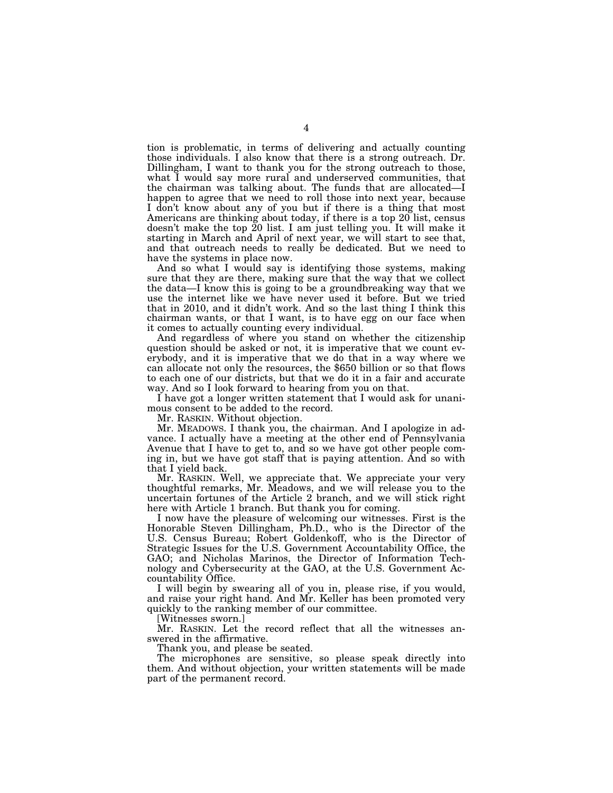tion is problematic, in terms of delivering and actually counting those individuals. I also know that there is a strong outreach. Dr. Dillingham, I want to thank you for the strong outreach to those, what I would say more rural and underserved communities, that the chairman was talking about. The funds that are allocated—I happen to agree that we need to roll those into next year, because I don't know about any of you but if there is a thing that most Americans are thinking about today, if there is a top 20 list, census doesn't make the top 20 list. I am just telling you. It will make it starting in March and April of next year, we will start to see that, and that outreach needs to really be dedicated. But we need to have the systems in place now.

And so what I would say is identifying those systems, making sure that they are there, making sure that the way that we collect the data—I know this is going to be a groundbreaking way that we use the internet like we have never used it before. But we tried that in 2010, and it didn't work. And so the last thing I think this chairman wants, or that I want, is to have egg on our face when it comes to actually counting every individual.

And regardless of where you stand on whether the citizenship question should be asked or not, it is imperative that we count everybody, and it is imperative that we do that in a way where we can allocate not only the resources, the \$650 billion or so that flows to each one of our districts, but that we do it in a fair and accurate way. And so I look forward to hearing from you on that.

I have got a longer written statement that I would ask for unanimous consent to be added to the record.

Mr. RASKIN. Without objection.

Mr. MEADOWS. I thank you, the chairman. And I apologize in advance. I actually have a meeting at the other end of Pennsylvania Avenue that I have to get to, and so we have got other people coming in, but we have got staff that is paying attention. And so with that I yield back.

Mr. RASKIN. Well, we appreciate that. We appreciate your very thoughtful remarks, Mr. Meadows, and we will release you to the uncertain fortunes of the Article 2 branch, and we will stick right here with Article 1 branch. But thank you for coming.

I now have the pleasure of welcoming our witnesses. First is the Honorable Steven Dillingham, Ph.D., who is the Director of the U.S. Census Bureau; Robert Goldenkoff, who is the Director of Strategic Issues for the U.S. Government Accountability Office, the GAO; and Nicholas Marinos, the Director of Information Technology and Cybersecurity at the GAO, at the U.S. Government Accountability Office.

I will begin by swearing all of you in, please rise, if you would, and raise your right hand. And Mr. Keller has been promoted very quickly to the ranking member of our committee.

[Witnesses sworn.]

Mr. RASKIN. Let the record reflect that all the witnesses answered in the affirmative.

Thank you, and please be seated.

The microphones are sensitive, so please speak directly into them. And without objection, your written statements will be made part of the permanent record.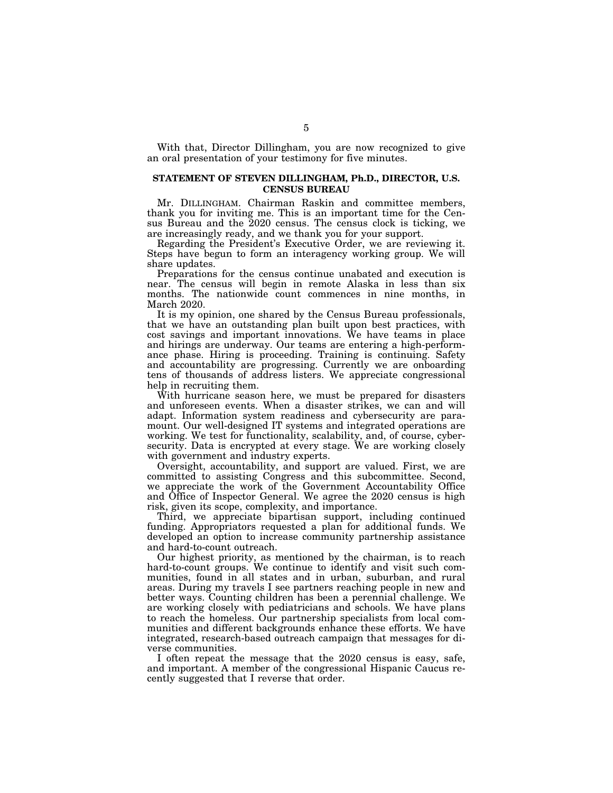With that, Director Dillingham, you are now recognized to give an oral presentation of your testimony for five minutes.

### **STATEMENT OF STEVEN DILLINGHAM, Ph.D., DIRECTOR, U.S. CENSUS BUREAU**

Mr. DILLINGHAM. Chairman Raskin and committee members, thank you for inviting me. This is an important time for the Census Bureau and the 2020 census. The census clock is ticking, we are increasingly ready, and we thank you for your support.

Regarding the President's Executive Order, we are reviewing it. Steps have begun to form an interagency working group. We will share updates.

Preparations for the census continue unabated and execution is near. The census will begin in remote Alaska in less than six months. The nationwide count commences in nine months, in March 2020.

It is my opinion, one shared by the Census Bureau professionals, that we have an outstanding plan built upon best practices, with cost savings and important innovations. We have teams in place and hirings are underway. Our teams are entering a high-performance phase. Hiring is proceeding. Training is continuing. Safety and accountability are progressing. Currently we are onboarding tens of thousands of address listers. We appreciate congressional help in recruiting them.

With hurricane season here, we must be prepared for disasters and unforeseen events. When a disaster strikes, we can and will adapt. Information system readiness and cybersecurity are paramount. Our well-designed IT systems and integrated operations are working. We test for functionality, scalability, and, of course, cybersecurity. Data is encrypted at every stage. We are working closely with government and industry experts.

Oversight, accountability, and support are valued. First, we are committed to assisting Congress and this subcommittee. Second, we appreciate the work of the Government Accountability Office and Office of Inspector General. We agree the 2020 census is high risk, given its scope, complexity, and importance.

Third, we appreciate bipartisan support, including continued funding. Appropriators requested a plan for additional funds. We developed an option to increase community partnership assistance and hard-to-count outreach.

Our highest priority, as mentioned by the chairman, is to reach hard-to-count groups. We continue to identify and visit such communities, found in all states and in urban, suburban, and rural areas. During my travels I see partners reaching people in new and better ways. Counting children has been a perennial challenge. We are working closely with pediatricians and schools. We have plans to reach the homeless. Our partnership specialists from local communities and different backgrounds enhance these efforts. We have integrated, research-based outreach campaign that messages for diverse communities.

I often repeat the message that the 2020 census is easy, safe, and important. A member of the congressional Hispanic Caucus recently suggested that I reverse that order.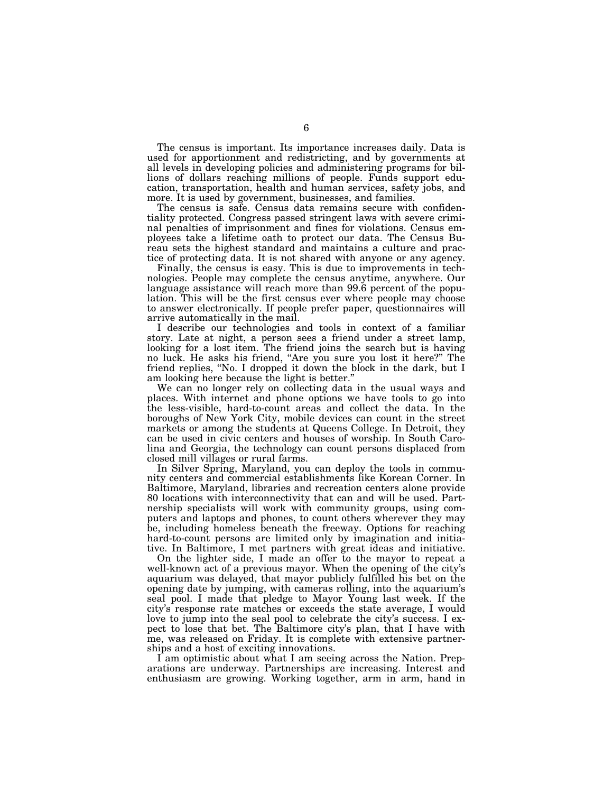The census is important. Its importance increases daily. Data is used for apportionment and redistricting, and by governments at all levels in developing policies and administering programs for billions of dollars reaching millions of people. Funds support education, transportation, health and human services, safety jobs, and more. It is used by government, businesses, and families.

The census is safe. Census data remains secure with confidentiality protected. Congress passed stringent laws with severe criminal penalties of imprisonment and fines for violations. Census employees take a lifetime oath to protect our data. The Census Bureau sets the highest standard and maintains a culture and practice of protecting data. It is not shared with anyone or any agency.

Finally, the census is easy. This is due to improvements in technologies. People may complete the census anytime, anywhere. Our language assistance will reach more than 99.6 percent of the population. This will be the first census ever where people may choose to answer electronically. If people prefer paper, questionnaires will arrive automatically in the mail.

I describe our technologies and tools in context of a familiar story. Late at night, a person sees a friend under a street lamp, looking for a lost item. The friend joins the search but is having no luck. He asks his friend, ''Are you sure you lost it here?'' The friend replies, "No. I dropped it down the block in the dark, but I am looking here because the light is better.''

We can no longer rely on collecting data in the usual ways and places. With internet and phone options we have tools to go into the less-visible, hard-to-count areas and collect the data. In the boroughs of New York City, mobile devices can count in the street markets or among the students at Queens College. In Detroit, they can be used in civic centers and houses of worship. In South Carolina and Georgia, the technology can count persons displaced from closed mill villages or rural farms.

In Silver Spring, Maryland, you can deploy the tools in community centers and commercial establishments like Korean Corner. In Baltimore, Maryland, libraries and recreation centers alone provide 80 locations with interconnectivity that can and will be used. Partnership specialists will work with community groups, using computers and laptops and phones, to count others wherever they may be, including homeless beneath the freeway. Options for reaching hard-to-count persons are limited only by imagination and initiative. In Baltimore, I met partners with great ideas and initiative.

On the lighter side, I made an offer to the mayor to repeat a well-known act of a previous mayor. When the opening of the city's aquarium was delayed, that mayor publicly fulfilled his bet on the opening date by jumping, with cameras rolling, into the aquarium's seal pool. I made that pledge to Mayor Young last week. If the city's response rate matches or exceeds the state average, I would love to jump into the seal pool to celebrate the city's success. I expect to lose that bet. The Baltimore city's plan, that I have with me, was released on Friday. It is complete with extensive partnerships and a host of exciting innovations.

I am optimistic about what I am seeing across the Nation. Preparations are underway. Partnerships are increasing. Interest and enthusiasm are growing. Working together, arm in arm, hand in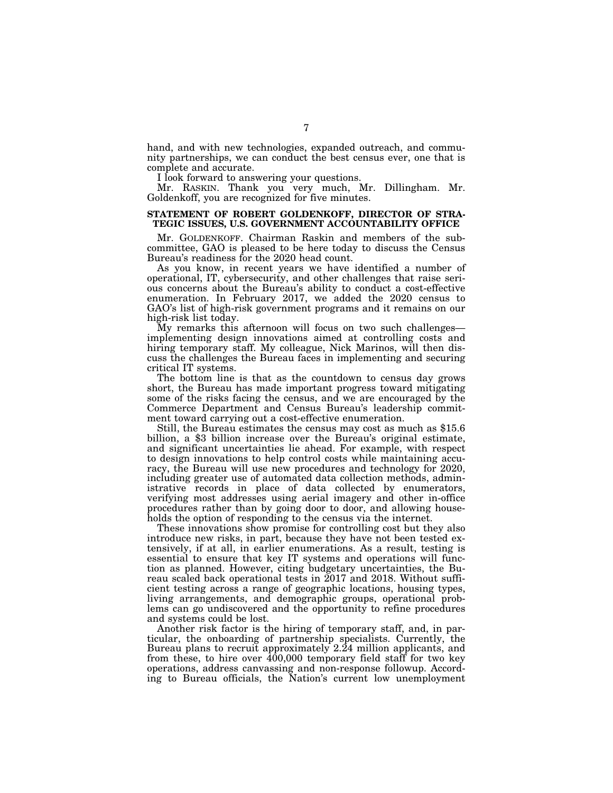hand, and with new technologies, expanded outreach, and community partnerships, we can conduct the best census ever, one that is complete and accurate.

I look forward to answering your questions.

Mr. RASKIN. Thank you very much, Mr. Dillingham. Mr. Goldenkoff, you are recognized for five minutes.

### **STATEMENT OF ROBERT GOLDENKOFF, DIRECTOR OF STRA-TEGIC ISSUES, U.S. GOVERNMENT ACCOUNTABILITY OFFICE**

Mr. GOLDENKOFF. Chairman Raskin and members of the subcommittee, GAO is pleased to be here today to discuss the Census Bureau's readiness for the 2020 head count.

As you know, in recent years we have identified a number of operational, IT, cybersecurity, and other challenges that raise serious concerns about the Bureau's ability to conduct a cost-effective enumeration. In February 2017, we added the 2020 census to GAO's list of high-risk government programs and it remains on our high-risk list today.

My remarks this afternoon will focus on two such challenges implementing design innovations aimed at controlling costs and hiring temporary staff. My colleague, Nick Marinos, will then discuss the challenges the Bureau faces in implementing and securing critical IT systems.

The bottom line is that as the countdown to census day grows short, the Bureau has made important progress toward mitigating some of the risks facing the census, and we are encouraged by the Commerce Department and Census Bureau's leadership commit-

Still, the Bureau estimates the census may cost as much as  $$15.6$  billion, a  $$3$  billion increase over the Bureau's original estimate, and significant uncertainties lie ahead. For example, with respect to design innovations to help control costs while maintaining accuracy, the Bureau will use new procedures and technology for 2020, including greater use of automated data collection methods, administrative records in place of data collected by enumerators, verifying most addresses using aerial imagery and other in-office procedures rather than by going door to door, and allowing households the option of responding to the census via the internet.

These innovations show promise for controlling cost but they also introduce new risks, in part, because they have not been tested extensively, if at all, in earlier enumerations. As a result, testing is essential to ensure that key IT systems and operations will function as planned. However, citing budgetary uncertainties, the Bureau scaled back operational tests in 2017 and 2018. Without sufficient testing across a range of geographic locations, housing types, living arrangements, and demographic groups, operational problems can go undiscovered and the opportunity to refine procedures and systems could be lost.

Another risk factor is the hiring of temporary staff, and, in particular, the onboarding of partnership specialists. Currently, the Bureau plans to recruit approximately 2.24 million applicants, and from these, to hire over 400,000 temporary field staff for two key operations, address canvassing and non-response followup. According to Bureau officials, the Nation's current low unemployment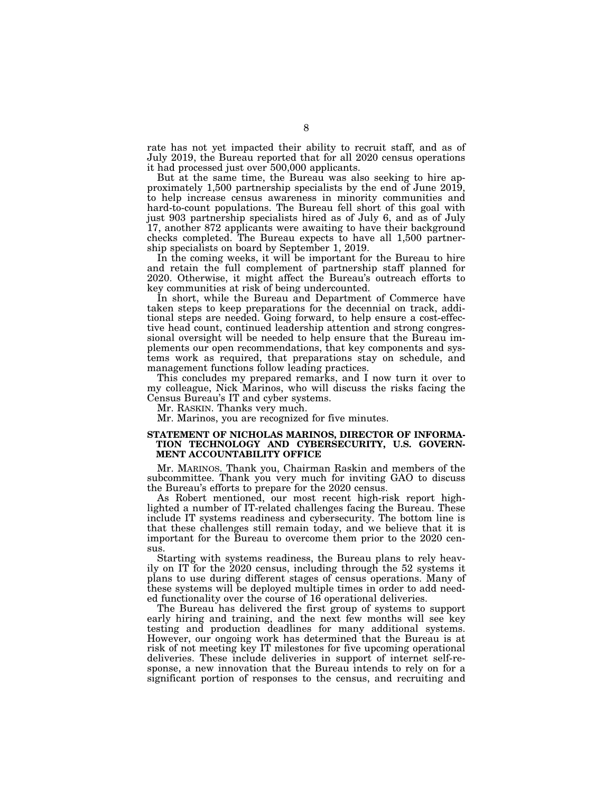rate has not yet impacted their ability to recruit staff, and as of July 2019, the Bureau reported that for all 2020 census operations it had processed just over 500,000 applicants.

But at the same time, the Bureau was also seeking to hire approximately 1,500 partnership specialists by the end of June 2019, to help increase census awareness in minority communities and hard-to-count populations. The Bureau fell short of this goal with just 903 partnership specialists hired as of July 6, and as of July 17, another 872 applicants were awaiting to have their background checks completed. The Bureau expects to have all 1,500 partnership specialists on board by September 1, 2019.

In the coming weeks, it will be important for the Bureau to hire and retain the full complement of partnership staff planned for 2020. Otherwise, it might affect the Bureau's outreach efforts to key communities at risk of being undercounted.

In short, while the Bureau and Department of Commerce have taken steps to keep preparations for the decennial on track, additional steps are needed. Going forward, to help ensure a cost-effective head count, continued leadership attention and strong congressional oversight will be needed to help ensure that the Bureau implements our open recommendations, that key components and systems work as required, that preparations stay on schedule, and management functions follow leading practices.

This concludes my prepared remarks, and I now turn it over to my colleague, Nick Marinos, who will discuss the risks facing the Census Bureau's IT and cyber systems.

Mr. RASKIN. Thanks very much.

Mr. Marinos, you are recognized for five minutes.

### **STATEMENT OF NICHOLAS MARINOS, DIRECTOR OF INFORMA-TION TECHNOLOGY AND CYBERSECURITY, U.S. GOVERN-MENT ACCOUNTABILITY OFFICE**

Mr. MARINOS. Thank you, Chairman Raskin and members of the subcommittee. Thank you very much for inviting GAO to discuss the Bureau's efforts to prepare for the 2020 census.

As Robert mentioned, our most recent high-risk report highlighted a number of IT-related challenges facing the Bureau. These include IT systems readiness and cybersecurity. The bottom line is that these challenges still remain today, and we believe that it is important for the Bureau to overcome them prior to the 2020 census.

Starting with systems readiness, the Bureau plans to rely heavily on IT for the 2020 census, including through the 52 systems it plans to use during different stages of census operations. Many of these systems will be deployed multiple times in order to add needed functionality over the course of 16 operational deliveries.

The Bureau has delivered the first group of systems to support early hiring and training, and the next few months will see key testing and production deadlines for many additional systems. However, our ongoing work has determined that the Bureau is at risk of not meeting key IT milestones for five upcoming operational deliveries. These include deliveries in support of internet self-response, a new innovation that the Bureau intends to rely on for a significant portion of responses to the census, and recruiting and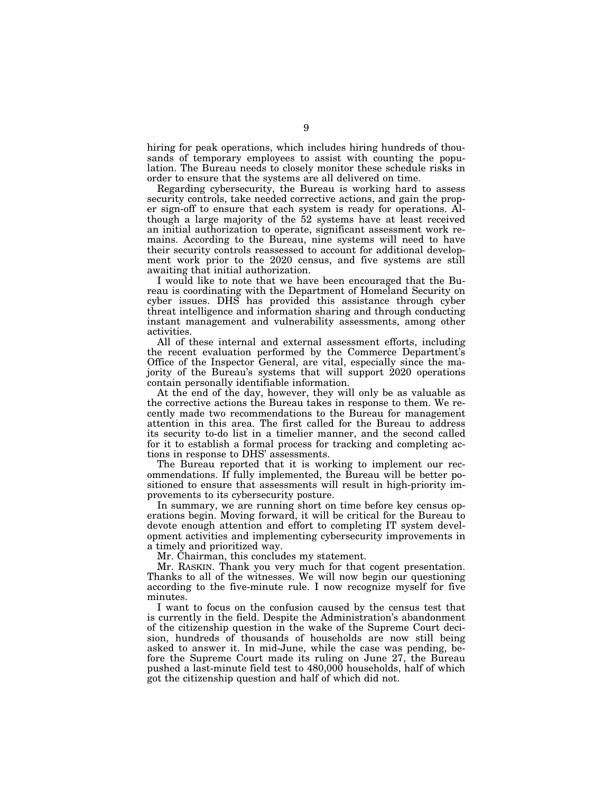hiring for peak operations, which includes hiring hundreds of thousands of temporary employees to assist with counting the population. The Bureau needs to closely monitor these schedule risks in order to ensure that the systems are all delivered on time.

Regarding cybersecurity, the Bureau is working hard to assess security controls, take needed corrective actions, and gain the proper sign-off to ensure that each system is ready for operations. Although a large majority of the 52 systems have at least received an initial authorization to operate, significant assessment work remains. According to the Bureau, nine systems will need to have their security controls reassessed to account for additional development work prior to the 2020 census, and five systems are still awaiting that initial authorization.

I would like to note that we have been encouraged that the Bureau is coordinating with the Department of Homeland Security on cyber issues. DHS has provided this assistance through cyber threat intelligence and information sharing and through conducting instant management and vulnerability assessments, among other activities.

All of these internal and external assessment efforts, including the recent evaluation performed by the Commerce Department's Office of the Inspector General, are vital, especially since the majority of the Bureau's systems that will support 2020 operations contain personally identifiable information.

At the end of the day, however, they will only be as valuable as the corrective actions the Bureau takes in response to them. We recently made two recommendations to the Bureau for management attention in this area. The first called for the Bureau to address its security to-do list in a timelier manner, and the second called for it to establish a formal process for tracking and completing actions in response to DHS' assessments.

The Bureau reported that it is working to implement our recommendations. If fully implemented, the Bureau will be better positioned to ensure that assessments will result in high-priority improvements to its cybersecurity posture.

In summary, we are running short on time before key census operations begin. Moving forward, it will be critical for the Bureau to devote enough attention and effort to completing IT system development activities and implementing cybersecurity improvements in a timely and prioritized way.

Mr. Chairman, this concludes my statement.

Mr. RASKIN. Thank you very much for that cogent presentation. Thanks to all of the witnesses. We will now begin our questioning according to the five-minute rule. I now recognize myself for five minutes.

I want to focus on the confusion caused by the census test that is currently in the field. Despite the Administration's abandonment of the citizenship question in the wake of the Supreme Court decision, hundreds of thousands of households are now still being asked to answer it. In mid-June, while the case was pending, before the Supreme Court made its ruling on June 27, the Bureau pushed a last-minute field test to 480,000 households, half of which got the citizenship question and half of which did not.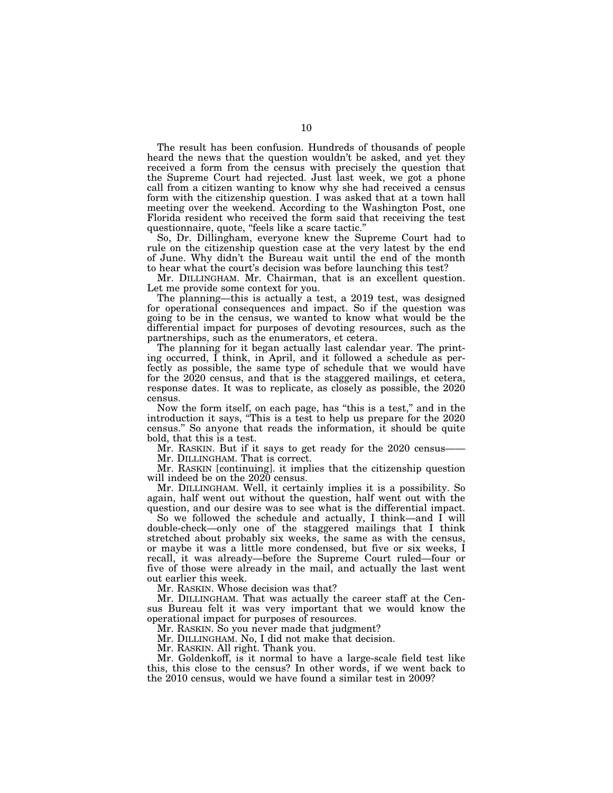The result has been confusion. Hundreds of thousands of people heard the news that the question wouldn't be asked, and yet they received a form from the census with precisely the question that the Supreme Court had rejected. Just last week, we got a phone call from a citizen wanting to know why she had received a census form with the citizenship question. I was asked that at a town hall meeting over the weekend. According to the Washington Post, one Florida resident who received the form said that receiving the test questionnaire, quote, "feels like a scare tactic."

So, Dr. Dillingham, everyone knew the Supreme Court had to rule on the citizenship question case at the very latest by the end of June. Why didn't the Bureau wait until the end of the month to hear what the court's decision was before launching this test?

Mr. DILLINGHAM. Mr. Chairman, that is an excellent question. Let me provide some context for you.

The planning—this is actually a test, a 2019 test, was designed for operational consequences and impact. So if the question was going to be in the census, we wanted to know what would be the differential impact for purposes of devoting resources, such as the partnerships, such as the enumerators, et cetera.

The planning for it began actually last calendar year. The printing occurred, I think, in April, and it followed a schedule as perfectly as possible, the same type of schedule that we would have for the 2020 census, and that is the staggered mailings, et cetera, response dates. It was to replicate, as closely as possible, the 2020 census.

Now the form itself, on each page, has ''this is a test,'' and in the introduction it says, ''This is a test to help us prepare for the 2020 census.'' So anyone that reads the information, it should be quite bold, that this is a test.

Mr. RASKIN. But if it says to get ready for the 2020 census— Mr. DILLINGHAM. That is correct.

Mr. RASKIN [continuing]. it implies that the citizenship question will indeed be on the 2020 census.

Mr. DILLINGHAM. Well, it certainly implies it is a possibility. So again, half went out without the question, half went out with the question, and our desire was to see what is the differential impact.

So we followed the schedule and actually, I think—and I will double-check—only one of the staggered mailings that I think stretched about probably six weeks, the same as with the census, or maybe it was a little more condensed, but five or six weeks, I recall, it was already—before the Supreme Court ruled—four or five of those were already in the mail, and actually the last went out earlier this week.

Mr. RASKIN. Whose decision was that?

Mr. DILLINGHAM. That was actually the career staff at the Census Bureau felt it was very important that we would know the operational impact for purposes of resources.

Mr. RASKIN. So you never made that judgment?

Mr. DILLINGHAM. No, I did not make that decision.

Mr. RASKIN. All right. Thank you.

Mr. Goldenkoff, is it normal to have a large-scale field test like this, this close to the census? In other words, if we went back to the 2010 census, would we have found a similar test in 2009?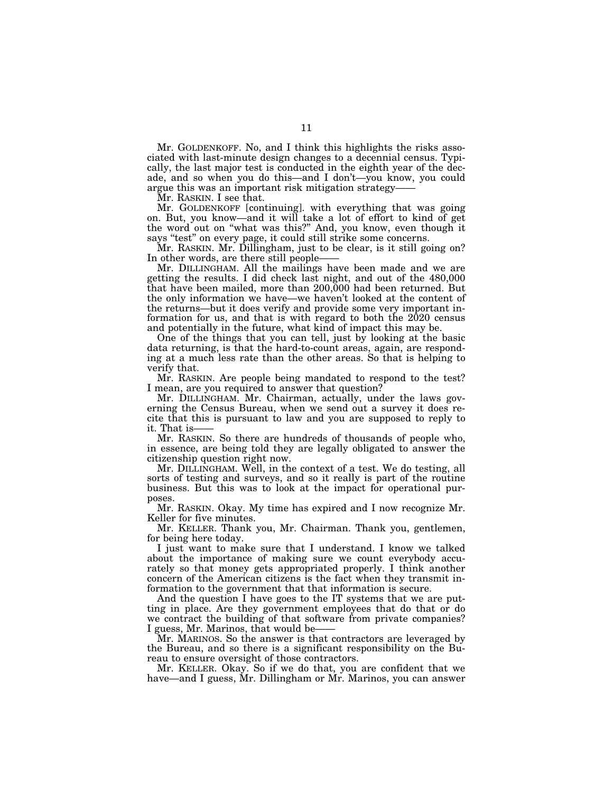Mr. GOLDENKOFF. No, and I think this highlights the risks associated with last-minute design changes to a decennial census. Typically, the last major test is conducted in the eighth year of the decade, and so when you do this—and I don't—you know, you could argue this was an important risk mitigation strategy——

Mr. RASKIN. I see that.

Mr. GOLDENKOFF [continuing]. with everything that was going on. But, you know—and it will take a lot of effort to kind of get the word out on "what was this?" And, you know, even though it says "test" on every page, it could still strike some concerns.

Mr. RASKIN. Mr. Dillingham, just to be clear, is it still going on? In other words, are there still people-

Mr. DILLINGHAM. All the mailings have been made and we are getting the results. I did check last night, and out of the 480,000 that have been mailed, more than 200,000 had been returned. But the only information we have—we haven't looked at the content of the returns—but it does verify and provide some very important information for us, and that is with regard to both the 2020 census and potentially in the future, what kind of impact this may be.

One of the things that you can tell, just by looking at the basic data returning, is that the hard-to-count areas, again, are responding at a much less rate than the other areas. So that is helping to verify that.

Mr. RASKIN. Are people being mandated to respond to the test? I mean, are you required to answer that question?

Mr. DILLINGHAM. Mr. Chairman, actually, under the laws governing the Census Bureau, when we send out a survey it does recite that this is pursuant to law and you are supposed to reply to it. That is-

Mr. RASKIN. So there are hundreds of thousands of people who, in essence, are being told they are legally obligated to answer the citizenship question right now.

Mr. DILLINGHAM. Well, in the context of a test. We do testing, all sorts of testing and surveys, and so it really is part of the routine business. But this was to look at the impact for operational purposes.

Mr. RASKIN. Okay. My time has expired and I now recognize Mr. Keller for five minutes.

Mr. KELLER. Thank you, Mr. Chairman. Thank you, gentlemen, for being here today.

I just want to make sure that I understand. I know we talked about the importance of making sure we count everybody accurately so that money gets appropriated properly. I think another concern of the American citizens is the fact when they transmit information to the government that that information is secure.

And the question I have goes to the IT systems that we are putting in place. Are they government employees that do that or do we contract the building of that software from private companies? I guess, Mr. Marinos, that would be-

Mr. MARINOS. So the answer is that contractors are leveraged by the Bureau, and so there is a significant responsibility on the Bureau to ensure oversight of those contractors.

Mr. KELLER. Okay. So if we do that, you are confident that we have—and I guess, Mr. Dillingham or Mr. Marinos, you can answer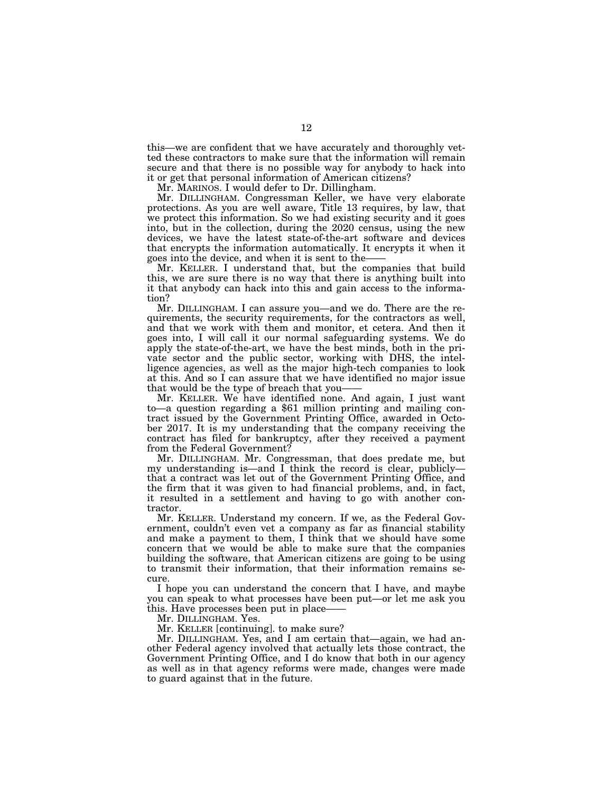this—we are confident that we have accurately and thoroughly vetted these contractors to make sure that the information will remain secure and that there is no possible way for anybody to hack into it or get that personal information of American citizens?

Mr. MARINOS. I would defer to Dr. Dillingham.

Mr. DILLINGHAM. Congressman Keller, we have very elaborate protections. As you are well aware, Title 13 requires, by law, that we protect this information. So we had existing security and it goes into, but in the collection, during the 2020 census, using the new devices, we have the latest state-of-the-art software and devices that encrypts the information automatically. It encrypts it when it goes into the device, and when it is sent to the——

Mr. KELLER. I understand that, but the companies that build this, we are sure there is no way that there is anything built into it that anybody can hack into this and gain access to the information?

Mr. DILLINGHAM. I can assure you—and we do. There are the requirements, the security requirements, for the contractors as well, and that we work with them and monitor, et cetera. And then it goes into, I will call it our normal safeguarding systems. We do apply the state-of-the-art, we have the best minds, both in the private sector and the public sector, working with DHS, the intelligence agencies, as well as the major high-tech companies to look at this. And so I can assure that we have identified no major issue that would be the type of breach that you-

Mr. KELLER. We have identified none. And again, I just want to—a question regarding a \$61 million printing and mailing contract issued by the Government Printing Office, awarded in October 2017. It is my understanding that the company receiving the contract has filed for bankruptcy, after they received a payment from the Federal Government?

Mr. DILLINGHAM. Mr. Congressman, that does predate me, but my understanding is—and I think the record is clear, publicly that a contract was let out of the Government Printing Office, and the firm that it was given to had financial problems, and, in fact, it resulted in a settlement and having to go with another contractor.

Mr. KELLER. Understand my concern. If we, as the Federal Government, couldn't even vet a company as far as financial stability and make a payment to them, I think that we should have some concern that we would be able to make sure that the companies building the software, that American citizens are going to be using to transmit their information, that their information remains secure.

I hope you can understand the concern that I have, and maybe you can speak to what processes have been put—or let me ask you this. Have processes been put in place——

Mr. DILLINGHAM. Yes.

Mr. KELLER [continuing]. to make sure?

Mr. DILLINGHAM. Yes, and I am certain that—again, we had another Federal agency involved that actually lets those contract, the Government Printing Office, and I do know that both in our agency as well as in that agency reforms were made, changes were made to guard against that in the future.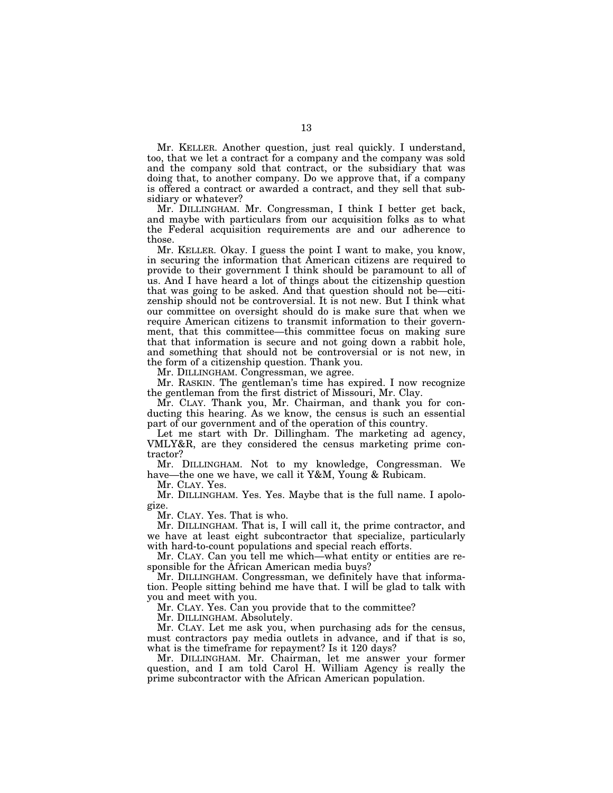Mr. KELLER. Another question, just real quickly. I understand, too, that we let a contract for a company and the company was sold and the company sold that contract, or the subsidiary that was doing that, to another company. Do we approve that, if a company is offered a contract or awarded a contract, and they sell that subsidiary or whatever?

Mr. DILLINGHAM. Mr. Congressman, I think I better get back, and maybe with particulars from our acquisition folks as to what the Federal acquisition requirements are and our adherence to those.

Mr. KELLER. Okay. I guess the point I want to make, you know, in securing the information that American citizens are required to provide to their government I think should be paramount to all of us. And I have heard a lot of things about the citizenship question that was going to be asked. And that question should not be—citizenship should not be controversial. It is not new. But I think what our committee on oversight should do is make sure that when we require American citizens to transmit information to their government, that this committee—this committee focus on making sure that that information is secure and not going down a rabbit hole, and something that should not be controversial or is not new, in the form of a citizenship question. Thank you.

Mr. DILLINGHAM. Congressman, we agree.

Mr. RASKIN. The gentleman's time has expired. I now recognize the gentleman from the first district of Missouri, Mr. Clay.

Mr. CLAY. Thank you, Mr. Chairman, and thank you for conducting this hearing. As we know, the census is such an essential part of our government and of the operation of this country.

Let me start with Dr. Dillingham. The marketing ad agency, VMLY&R, are they considered the census marketing prime contractor?

Mr. DILLINGHAM. Not to my knowledge, Congressman. We have—the one we have, we call it Y&M, Young & Rubicam.

Mr. CLAY. Yes.

Mr. DILLINGHAM. Yes. Yes. Maybe that is the full name. I apologize.

Mr. CLAY. Yes. That is who.

Mr. DILLINGHAM. That is, I will call it, the prime contractor, and we have at least eight subcontractor that specialize, particularly with hard-to-count populations and special reach efforts.

Mr. CLAY. Can you tell me which—what entity or entities are responsible for the African American media buys?

Mr. DILLINGHAM. Congressman, we definitely have that information. People sitting behind me have that. I will be glad to talk with you and meet with you.

Mr. CLAY. Yes. Can you provide that to the committee?

Mr. DILLINGHAM. Absolutely.

Mr. CLAY. Let me ask you, when purchasing ads for the census, must contractors pay media outlets in advance, and if that is so, what is the timeframe for repayment? Is it 120 days?

Mr. DILLINGHAM. Mr. Chairman, let me answer your former question, and I am told Carol H. William Agency is really the prime subcontractor with the African American population.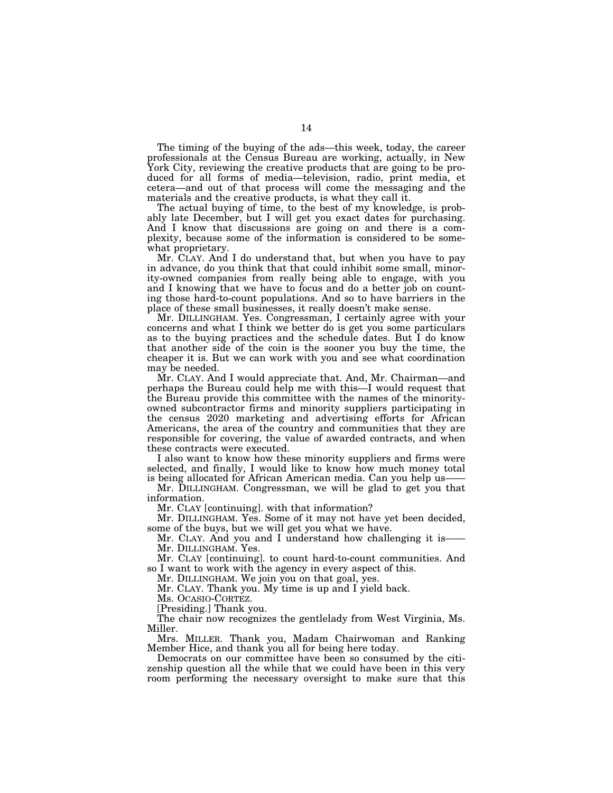The timing of the buying of the ads—this week, today, the career professionals at the Census Bureau are working, actually, in New York City, reviewing the creative products that are going to be produced for all forms of media—television, radio, print media, et cetera—and out of that process will come the messaging and the materials and the creative products, is what they call it.

The actual buying of time, to the best of my knowledge, is probably late December, but I will get you exact dates for purchasing. And I know that discussions are going on and there is a complexity, because some of the information is considered to be somewhat proprietary.

Mr. CLAY. And I do understand that, but when you have to pay in advance, do you think that that could inhibit some small, minority-owned companies from really being able to engage, with you and I knowing that we have to focus and do a better job on counting those hard-to-count populations. And so to have barriers in the place of these small businesses, it really doesn't make sense.

Mr. DILLINGHAM. Yes. Congressman, I certainly agree with your concerns and what I think we better do is get you some particulars as to the buying practices and the schedule dates. But I do know that another side of the coin is the sooner you buy the time, the cheaper it is. But we can work with you and see what coordination may be needed.

Mr. CLAY. And I would appreciate that. And, Mr. Chairman—and perhaps the Bureau could help me with this—I would request that the Bureau provide this committee with the names of the minorityowned subcontractor firms and minority suppliers participating in the census 2020 marketing and advertising efforts for African Americans, the area of the country and communities that they are responsible for covering, the value of awarded contracts, and when these contracts were executed.

I also want to know how these minority suppliers and firms were selected, and finally, I would like to know how much money total is being allocated for African American media. Can you help us-

Mr. DILLINGHAM. Congressman, we will be glad to get you that information.

Mr. CLAY [continuing]. with that information?

Mr. DILLINGHAM. Yes. Some of it may not have yet been decided, some of the buys, but we will get you what we have.

Mr. CLAY. And you and I understand how challenging it is— Mr. DILLINGHAM. Yes.

Mr. CLAY [continuing]. to count hard-to-count communities. And so I want to work with the agency in every aspect of this.

Mr. DILLINGHAM. We join you on that goal, yes.

Mr. CLAY. Thank you. My time is up and I yield back.

Ms. OCASIO-CORTEZ.

[Presiding.] Thank you.

The chair now recognizes the gentlelady from West Virginia, Ms. Miller.

Mrs. MILLER. Thank you, Madam Chairwoman and Ranking Member Hice, and thank you all for being here today.

Democrats on our committee have been so consumed by the citizenship question all the while that we could have been in this very room performing the necessary oversight to make sure that this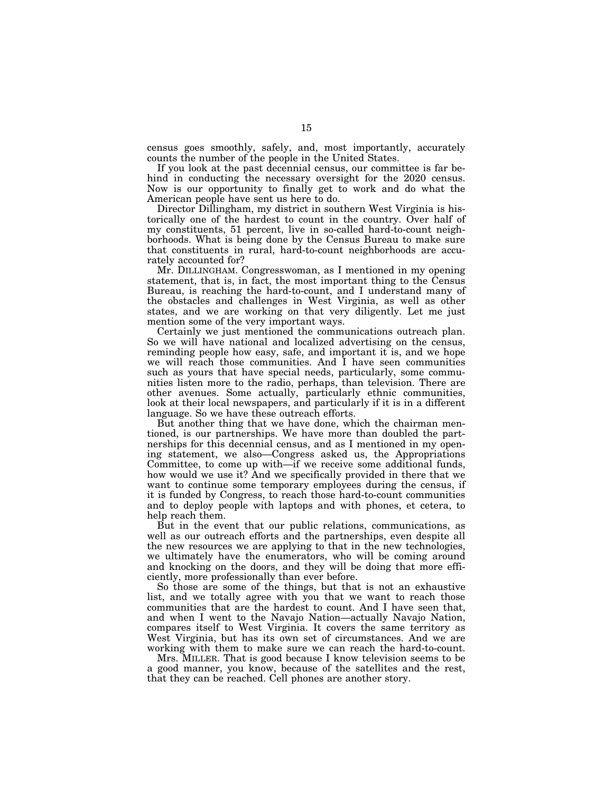census goes smoothly, safely, and, most importantly, accurately counts the number of the people in the United States.

If you look at the past decennial census, our committee is far behind in conducting the necessary oversight for the 2020 census. Now is our opportunity to finally get to work and do what the American people have sent us here to do.

Director Dillingham, my district in southern West Virginia is historically one of the hardest to count in the country. Over half of my constituents, 51 percent, live in so-called hard-to-count neighborhoods. What is being done by the Census Bureau to make sure that constituents in rural, hard-to-count neighborhoods are accurately accounted for?

Mr. DILLINGHAM. Congresswoman, as I mentioned in my opening statement, that is, in fact, the most important thing to the Census Bureau, is reaching the hard-to-count, and I understand many of the obstacles and challenges in West Virginia, as well as other states, and we are working on that very diligently. Let me just mention some of the very important ways.

Certainly we just mentioned the communications outreach plan. So we will have national and localized advertising on the census, reminding people how easy, safe, and important it is, and we hope we will reach those communities. And I have seen communities such as yours that have special needs, particularly, some communities listen more to the radio, perhaps, than television. There are other avenues. Some actually, particularly ethnic communities, look at their local newspapers, and particularly if it is in a different language. So we have these outreach efforts.

But another thing that we have done, which the chairman mentioned, is our partnerships. We have more than doubled the partnerships for this decennial census, and as I mentioned in my opening statement, we also—Congress asked us, the Appropriations Committee, to come up with—if we receive some additional funds, how would we use it? And we specifically provided in there that we want to continue some temporary employees during the census, if it is funded by Congress, to reach those hard-to-count communities and to deploy people with laptops and with phones, et cetera, to help reach them.

But in the event that our public relations, communications, as well as our outreach efforts and the partnerships, even despite all the new resources we are applying to that in the new technologies, we ultimately have the enumerators, who will be coming around and knocking on the doors, and they will be doing that more efficiently, more professionally than ever before.

So those are some of the things, but that is not an exhaustive list, and we totally agree with you that we want to reach those communities that are the hardest to count. And I have seen that, and when I went to the Navajo Nation—actually Navajo Nation, compares itself to West Virginia. It covers the same territory as West Virginia, but has its own set of circumstances. And we are working with them to make sure we can reach the hard-to-count.

Mrs. MILLER. That is good because I know television seems to be a good manner, you know, because of the satellites and the rest, that they can be reached. Cell phones are another story.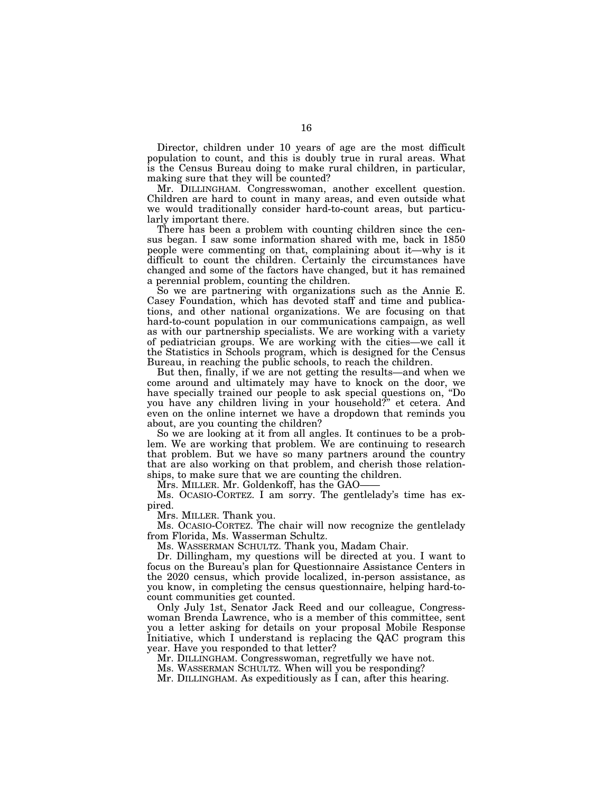Director, children under 10 years of age are the most difficult population to count, and this is doubly true in rural areas. What is the Census Bureau doing to make rural children, in particular, making sure that they will be counted?

Mr. DILLINGHAM. Congresswoman, another excellent question. Children are hard to count in many areas, and even outside what we would traditionally consider hard-to-count areas, but particularly important there.

There has been a problem with counting children since the census began. I saw some information shared with me, back in 1850 people were commenting on that, complaining about it—why is it difficult to count the children. Certainly the circumstances have changed and some of the factors have changed, but it has remained a perennial problem, counting the children.

So we are partnering with organizations such as the Annie E. Casey Foundation, which has devoted staff and time and publications, and other national organizations. We are focusing on that hard-to-count population in our communications campaign, as well as with our partnership specialists. We are working with a variety of pediatrician groups. We are working with the cities—we call it the Statistics in Schools program, which is designed for the Census Bureau, in reaching the public schools, to reach the children.

But then, finally, if we are not getting the results—and when we come around and ultimately may have to knock on the door, we have specially trained our people to ask special questions on, ''Do you have any children living in your household?'' et cetera. And even on the online internet we have a dropdown that reminds you about, are you counting the children?

So we are looking at it from all angles. It continues to be a problem. We are working that problem. We are continuing to research that problem. But we have so many partners around the country that are also working on that problem, and cherish those relationships, to make sure that we are counting the children.

Mrs. MILLER. Mr. Goldenkoff, has the GAO-

Ms. OCASIO-CORTEZ. I am sorry. The gentlelady's time has expired.

Mrs. MILLER. Thank you.

Ms. OCASIO-CORTEZ. The chair will now recognize the gentlelady from Florida, Ms. Wasserman Schultz.

Ms. WASSERMAN SCHULTZ. Thank you, Madam Chair.

Dr. Dillingham, my questions will be directed at you. I want to focus on the Bureau's plan for Questionnaire Assistance Centers in the 2020 census, which provide localized, in-person assistance, as you know, in completing the census questionnaire, helping hard-tocount communities get counted.

Only July 1st, Senator Jack Reed and our colleague, Congresswoman Brenda Lawrence, who is a member of this committee, sent you a letter asking for details on your proposal Mobile Response Initiative, which I understand is replacing the QAC program this year. Have you responded to that letter?

Mr. DILLINGHAM. Congresswoman, regretfully we have not.

Ms. WASSERMAN SCHULTZ. When will you be responding?

Mr. DILLINGHAM. As expeditiously as I can, after this hearing.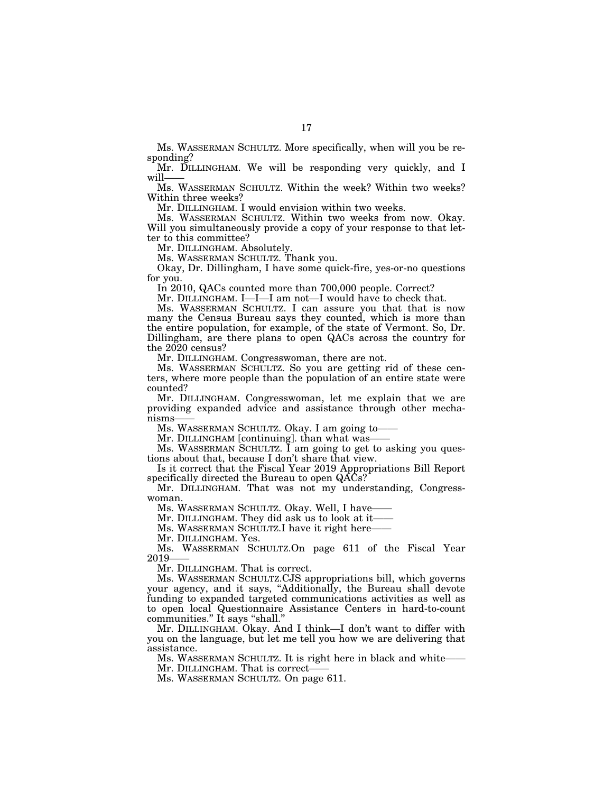Ms. WASSERMAN SCHULTZ. More specifically, when will you be responding?

Mr. DILLINGHAM. We will be responding very quickly, and I will-

Ms. WASSERMAN SCHULTZ. Within the week? Within two weeks? Within three weeks?

Mr. DILLINGHAM. I would envision within two weeks.

Ms. WASSERMAN SCHULTZ. Within two weeks from now. Okay. Will you simultaneously provide a copy of your response to that letter to this committee?

Mr. DILLINGHAM. Absolutely.

Ms. WASSERMAN SCHULTZ. Thank you.

Okay, Dr. Dillingham, I have some quick-fire, yes-or-no questions for you.

In 2010, QACs counted more than 700,000 people. Correct?

Mr. DILLINGHAM. I—I—I am not—I would have to check that.

Ms. WASSERMAN SCHULTZ. I can assure you that that is now many the Census Bureau says they counted, which is more than the entire population, for example, of the state of Vermont. So, Dr. Dillingham, are there plans to open QACs across the country for the 2020 census?

Mr. DILLINGHAM. Congresswoman, there are not.

Ms. WASSERMAN SCHULTZ. So you are getting rid of these centers, where more people than the population of an entire state were counted?

Mr. DILLINGHAM. Congresswoman, let me explain that we are providing expanded advice and assistance through other mechanisms-

Ms. WASSERMAN SCHULTZ. Okay. I am going to——

Mr. DILLINGHAM [continuing]. than what was——

Ms. WASSERMAN SCHULTZ. I am going to get to asking you questions about that, because I don't share that view.

Is it correct that the Fiscal Year 2019 Appropriations Bill Report specifically directed the Bureau to open QACs?

Mr. DILLINGHAM. That was not my understanding, Congresswoman.

Ms. WASSERMAN SCHULTZ. Okay. Well, I have-

Mr. DILLINGHAM. They did ask us to look at it-

Ms. WASSERMAN SCHULTZ.I have it right here-

Mr. DILLINGHAM. Yes.

Ms. WASSERMAN SCHULTZ.On page 611 of the Fiscal Year 2019

Mr. DILLINGHAM. That is correct.

Ms. WASSERMAN SCHULTZ.CJS appropriations bill, which governs your agency, and it says, ''Additionally, the Bureau shall devote funding to expanded targeted communications activities as well as to open local Questionnaire Assistance Centers in hard-to-count communities.'' It says ''shall.''

Mr. DILLINGHAM. Okay. And I think—I don't want to differ with you on the language, but let me tell you how we are delivering that assistance.

Ms. WASSERMAN SCHULTZ. It is right here in black and white——

Mr. DILLINGHAM. That is correct-

Ms. WASSERMAN SCHULTZ. On page 611.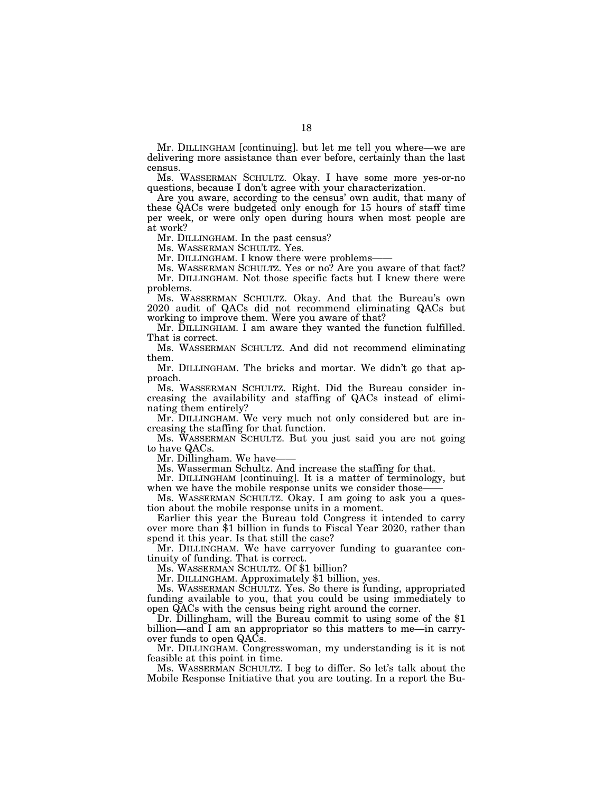Mr. DILLINGHAM [continuing]. but let me tell you where—we are delivering more assistance than ever before, certainly than the last census.

Ms. WASSERMAN SCHULTZ. Okay. I have some more yes-or-no questions, because I don't agree with your characterization.

Are you aware, according to the census' own audit, that many of these QACs were budgeted only enough for 15 hours of staff time per week, or were only open during hours when most people are at work?

Mr. DILLINGHAM. In the past census?

Ms. WASSERMAN SCHULTZ. Yes.

Mr. DILLINGHAM. I know there were problems-

Ms. WASSERMAN SCHULTZ. Yes or no? Are you aware of that fact? Mr. DILLINGHAM. Not those specific facts but I knew there were problems.

Ms. WASSERMAN SCHULTZ. Okay. And that the Bureau's own 2020 audit of QACs did not recommend eliminating QACs but working to improve them. Were you aware of that?

Mr. DILLINGHAM. I am aware they wanted the function fulfilled. That is correct.

Ms. WASSERMAN SCHULTZ. And did not recommend eliminating them.

Mr. DILLINGHAM. The bricks and mortar. We didn't go that approach.

Ms. WASSERMAN SCHULTZ. Right. Did the Bureau consider increasing the availability and staffing of QACs instead of eliminating them entirely?

Mr. DILLINGHAM. We very much not only considered but are increasing the staffing for that function.

Ms. WASSERMAN SCHULTZ. But you just said you are not going to have QACs.

Mr. Dillingham. We have-

Ms. Wasserman Schultz. And increase the staffing for that.

Mr. DILLINGHAM [continuing]. It is a matter of terminology, but when we have the mobile response units we consider those-

Ms. WASSERMAN SCHULTZ. Okay. I am going to ask you a question about the mobile response units in a moment.<br>Earlier this year the Bureau told Congress it intended to carry

over more than \$1 billion in funds to Fiscal Year 2020, rather than spend it this year. Is that still the case?

Mr. DILLINGHAM. We have carryover funding to guarantee continuity of funding. That is correct.

Ms. WASSERMAN SCHULTZ. Of \$1 billion?

Mr. DILLINGHAM. Approximately \$1 billion, yes.

Ms. WASSERMAN SCHULTZ. Yes. So there is funding, appropriated funding available to you, that you could be using immediately to open QACs with the census being right around the corner.

Dr. Dillingham, will the Bureau commit to using some of the \$1 billion—and I am an appropriator so this matters to me—in carryover funds to open QACs.

Mr. DILLINGHAM. Congresswoman, my understanding is it is not feasible at this point in time.

Ms. WASSERMAN SCHULTZ. I beg to differ. So let's talk about the Mobile Response Initiative that you are touting. In a report the Bu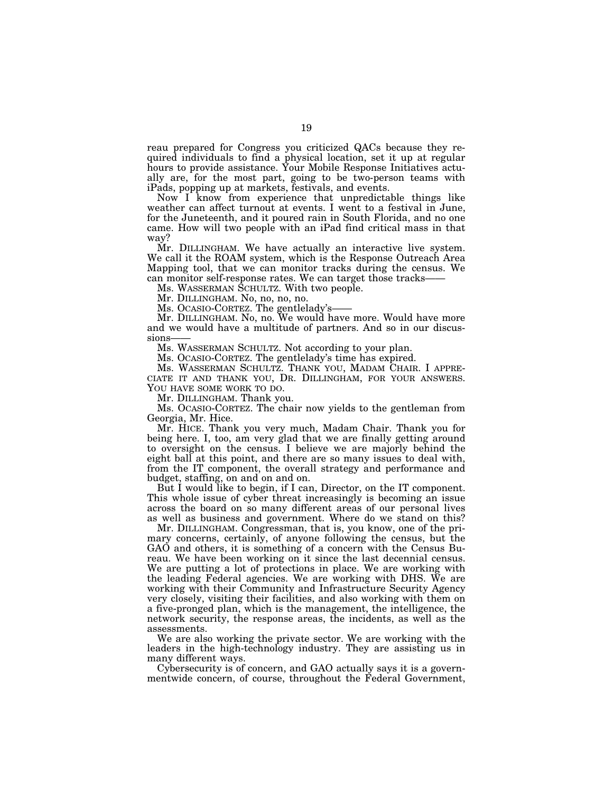reau prepared for Congress you criticized QACs because they required individuals to find a physical location, set it up at regular hours to provide assistance. Your Mobile Response Initiatives actually are, for the most part, going to be two-person teams with iPads, popping up at markets, festivals, and events.

Now I know from experience that unpredictable things like weather can affect turnout at events. I went to a festival in June, for the Juneteenth, and it poured rain in South Florida, and no one came. How will two people with an iPad find critical mass in that way?

Mr. DILLINGHAM. We have actually an interactive live system. We call it the ROAM system, which is the Response Outreach Area Mapping tool, that we can monitor tracks during the census. We can monitor self-response rates. We can target those tracks-

Ms. WASSERMAN SCHULTZ. With two people.

Mr. DILLINGHAM. No, no, no, no.

Ms. OCASIO-CORTEZ. The gentlelady's——

Mr. DILLINGHAM. No, no. We would have more. Would have more and we would have a multitude of partners. And so in our discussions

Ms. WASSERMAN SCHULTZ. Not according to your plan.

Ms. OCASIO-CORTEZ. The gentlelady's time has expired.

Ms. WASSERMAN SCHULTZ. THANK YOU, MADAM CHAIR. I APPRE-<br>CIATE IT AND THANK YOU, DR. DILLINGHAM, FOR YOUR ANSWERS.<br>YOU HAVE SOME WORK TO DO. Mr. DILLINGHAM. Thank you.

Ms. OCASIO-CORTEZ. The chair now yields to the gentleman from Georgia, Mr. Hice.

Mr. HICE. Thank you very much, Madam Chair. Thank you for being here. I, too, am very glad that we are finally getting around to oversight on the census. I believe we are majorly behind the eight ball at this point, and there are so many issues to deal with, from the IT component, the overall strategy and performance and budget, staffing, on and on and on.

But I would like to begin, if I can, Director, on the IT component. This whole issue of cyber threat increasingly is becoming an issue across the board on so many different areas of our personal lives as well as business and government. Where do we stand on this?

Mr. DILLINGHAM. Congressman, that is, you know, one of the primary concerns, certainly, of anyone following the census, but the GAO and others, it is something of a concern with the Census Bureau. We have been working on it since the last decennial census. We are putting a lot of protections in place. We are working with the leading Federal agencies. We are working with DHS. We are working with their Community and Infrastructure Security Agency very closely, visiting their facilities, and also working with them on a five-pronged plan, which is the management, the intelligence, the network security, the response areas, the incidents, as well as the assessments.

We are also working the private sector. We are working with the leaders in the high-technology industry. They are assisting us in many different ways.

Cybersecurity is of concern, and GAO actually says it is a governmentwide concern, of course, throughout the Federal Government,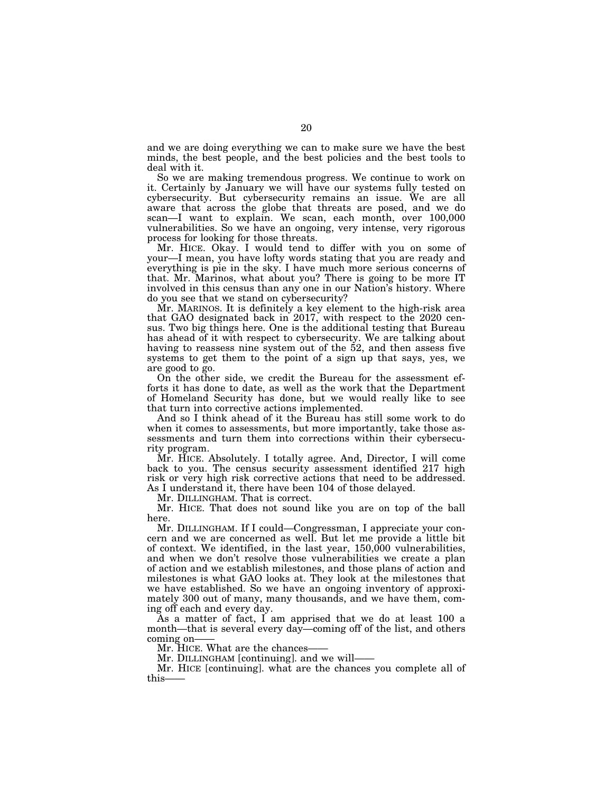and we are doing everything we can to make sure we have the best minds, the best people, and the best policies and the best tools to deal with it.

So we are making tremendous progress. We continue to work on it. Certainly by January we will have our systems fully tested on cybersecurity. But cybersecurity remains an issue. We are all aware that across the globe that threats are posed, and we do scan—I want to explain. We scan, each month, over 100,000 vulnerabilities. So we have an ongoing, very intense, very rigorous process for looking for those threats.

Mr. HICE. Okay. I would tend to differ with you on some of your—I mean, you have lofty words stating that you are ready and everything is pie in the sky. I have much more serious concerns of that. Mr. Marinos, what about you? There is going to be more IT involved in this census than any one in our Nation's history. Where do you see that we stand on cybersecurity?

Mr. MARINOS. It is definitely a key element to the high-risk area that GAO designated back in 2017, with respect to the 2020 census. Two big things here. One is the additional testing that Bureau has ahead of it with respect to cybersecurity. We are talking about having to reassess nine system out of the 52, and then assess five systems to get them to the point of a sign up that says, yes, we are good to go.

On the other side, we credit the Bureau for the assessment efforts it has done to date, as well as the work that the Department of Homeland Security has done, but we would really like to see that turn into corrective actions implemented.

And so I think ahead of it the Bureau has still some work to do when it comes to assessments, but more importantly, take those assessments and turn them into corrections within their cybersecurity program.

Mr. HICE. Absolutely. I totally agree. And, Director, I will come back to you. The census security assessment identified 217 high risk or very high risk corrective actions that need to be addressed. As I understand it, there have been 104 of those delayed.

Mr. DILLINGHAM. That is correct.

Mr. HICE. That does not sound like you are on top of the ball here.

Mr. DILLINGHAM. If I could—Congressman, I appreciate your concern and we are concerned as well. But let me provide a little bit of context. We identified, in the last year, 150,000 vulnerabilities, and when we don't resolve those vulnerabilities we create a plan of action and we establish milestones, and those plans of action and milestones is what GAO looks at. They look at the milestones that we have established. So we have an ongoing inventory of approximately 300 out of many, many thousands, and we have them, coming off each and every day.

As a matter of fact, I am apprised that we do at least 100 a month—that is several every day—coming off of the list, and others coming on-

Mr. HICE. What are the chances-

Mr. DILLINGHAM [continuing]. and we will-

Mr. HICE [continuing]. what are the chances you complete all of this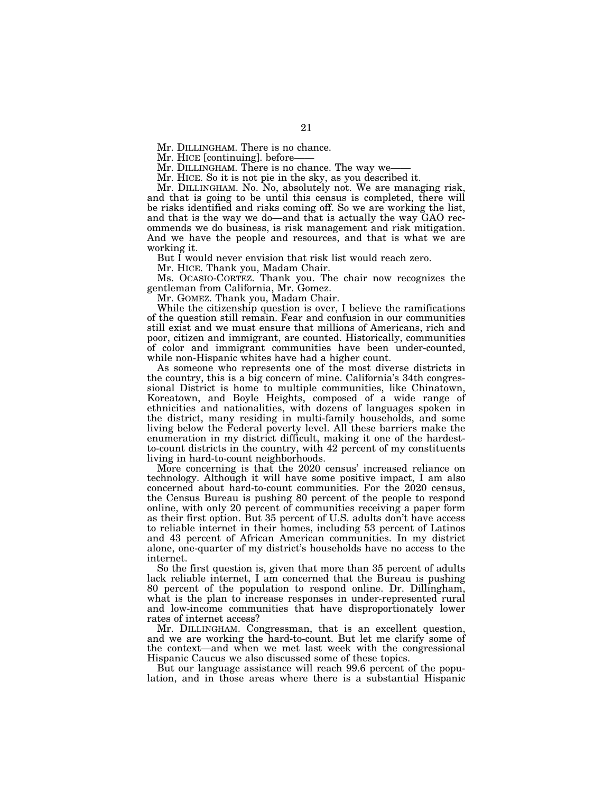Mr. HICE [continuing]. before

Mr. DILLINGHAM. There is no chance. The way we-

Mr. HICE. So it is not pie in the sky, as you described it.

Mr. DILLINGHAM. No. No, absolutely not. We are managing risk, and that is going to be until this census is completed, there will be risks identified and risks coming off. So we are working the list, and that is the way we do—and that is actually the way GAO recommends we do business, is risk management and risk mitigation. And we have the people and resources, and that is what we are working it.

But I would never envision that risk list would reach zero.

Mr. HICE. Thank you, Madam Chair.

Ms. OCASIO-CORTEZ. Thank you. The chair now recognizes the gentleman from California, Mr. Gomez.

Mr. GOMEZ. Thank you, Madam Chair.

While the citizenship question is over, I believe the ramifications of the question still remain. Fear and confusion in our communities still exist and we must ensure that millions of Americans, rich and poor, citizen and immigrant, are counted. Historically, communities of color and immigrant communities have been under-counted, while non-Hispanic whites have had a higher count.

As someone who represents one of the most diverse districts in the country, this is a big concern of mine. California's 34th congressional District is home to multiple communities, like Chinatown, Koreatown, and Boyle Heights, composed of a wide range of ethnicities and nationalities, with dozens of languages spoken in the district, many residing in multi-family households, and some living below the Federal poverty level. All these barriers make the enumeration in my district difficult, making it one of the hardestto-count districts in the country, with 42 percent of my constituents living in hard-to-count neighborhoods.

More concerning is that the 2020 census' increased reliance on technology. Although it will have some positive impact, I am also concerned about hard-to-count communities. For the 2020 census, the Census Bureau is pushing 80 percent of the people to respond online, with only 20 percent of communities receiving a paper form as their first option. But 35 percent of U.S. adults don't have access to reliable internet in their homes, including 53 percent of Latinos and 43 percent of African American communities. In my district alone, one-quarter of my district's households have no access to the internet.

So the first question is, given that more than 35 percent of adults lack reliable internet, I am concerned that the Bureau is pushing 80 percent of the population to respond online. Dr. Dillingham, what is the plan to increase responses in under-represented rural and low-income communities that have disproportionately lower rates of internet access?

Mr. DILLINGHAM. Congressman, that is an excellent question, and we are working the hard-to-count. But let me clarify some of the context—and when we met last week with the congressional Hispanic Caucus we also discussed some of these topics.

But our language assistance will reach 99.6 percent of the population, and in those areas where there is a substantial Hispanic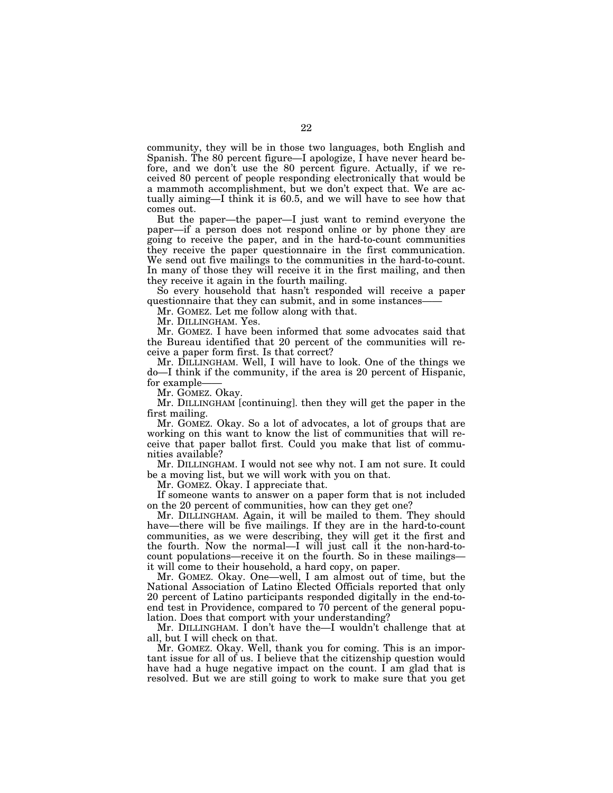community, they will be in those two languages, both English and Spanish. The 80 percent figure—I apologize, I have never heard before, and we don't use the 80 percent figure. Actually, if we received 80 percent of people responding electronically that would be a mammoth accomplishment, but we don't expect that. We are actually aiming—I think it is 60.5, and we will have to see how that comes out.

But the paper—the paper—I just want to remind everyone the paper—if a person does not respond online or by phone they are going to receive the paper, and in the hard-to-count communities they receive the paper questionnaire in the first communication. We send out five mailings to the communities in the hard-to-count. In many of those they will receive it in the first mailing, and then they receive it again in the fourth mailing.

So every household that hasn't responded will receive a paper questionnaire that they can submit, and in some instances-

Mr. GOMEZ. Let me follow along with that.

Mr. DILLINGHAM. Yes.

Mr. GOMEZ. I have been informed that some advocates said that the Bureau identified that 20 percent of the communities will receive a paper form first. Is that correct?

Mr. DILLINGHAM. Well, I will have to look. One of the things we do—I think if the community, if the area is 20 percent of Hispanic, for example-

Mr. GOMEZ. Okay.

Mr. DILLINGHAM [continuing]. then they will get the paper in the first mailing.

Mr. GOMEZ. Okay. So a lot of advocates, a lot of groups that are working on this want to know the list of communities that will receive that paper ballot first. Could you make that list of communities available?

Mr. DILLINGHAM. I would not see why not. I am not sure. It could be a moving list, but we will work with you on that.

Mr. GOMEZ. Okay. I appreciate that.

If someone wants to answer on a paper form that is not included on the 20 percent of communities, how can they get one?

Mr. DILLINGHAM. Again, it will be mailed to them. They should have—there will be five mailings. If they are in the hard-to-count communities, as we were describing, they will get it the first and the fourth. Now the normal—I will just call it the non-hard-tocount populations—receive it on the fourth. So in these mailings it will come to their household, a hard copy, on paper.

Mr. GOMEZ. Okay. One—well, I am almost out of time, but the National Association of Latino Elected Officials reported that only 20 percent of Latino participants responded digitally in the end-toend test in Providence, compared to 70 percent of the general population. Does that comport with your understanding?

Mr. DILLINGHAM. I don't have the—I wouldn't challenge that at all, but I will check on that.

Mr. GOMEZ. Okay. Well, thank you for coming. This is an important issue for all of us. I believe that the citizenship question would have had a huge negative impact on the count. I am glad that is resolved. But we are still going to work to make sure that you get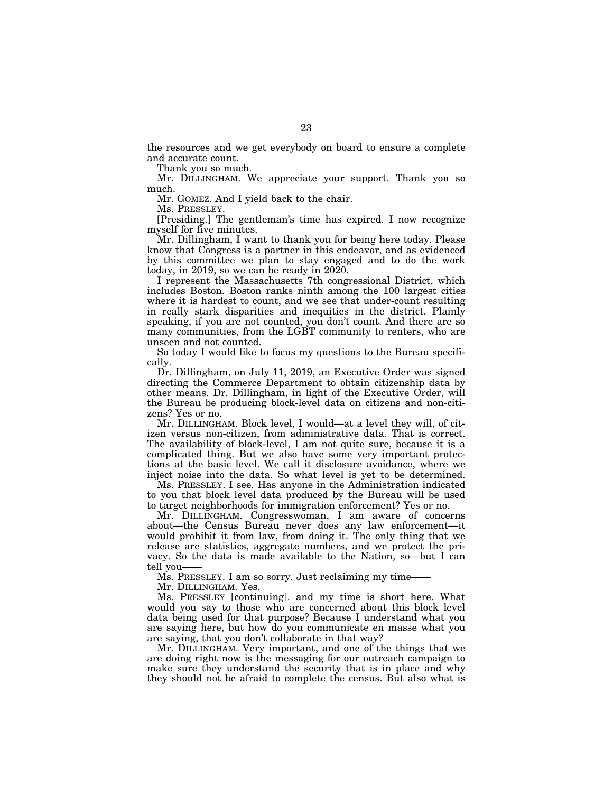the resources and we get everybody on board to ensure a complete and accurate count.

Thank you so much.

Mr. DILLINGHAM. We appreciate your support. Thank you so much.

Mr. GOMEZ. And I yield back to the chair.

Ms. PRESSLEY.

[Presiding.] The gentleman's time has expired. I now recognize myself for five minutes.

Mr. Dillingham, I want to thank you for being here today. Please know that Congress is a partner in this endeavor, and as evidenced by this committee we plan to stay engaged and to do the work today, in 2019, so we can be ready in 2020.

I represent the Massachusetts 7th congressional District, which includes Boston. Boston ranks ninth among the 100 largest cities where it is hardest to count, and we see that under-count resulting in really stark disparities and inequities in the district. Plainly speaking, if you are not counted, you don't count. And there are so many communities, from the LGBT community to renters, who are unseen and not counted.

So today I would like to focus my questions to the Bureau specifically.

Dr. Dillingham, on July 11, 2019, an Executive Order was signed directing the Commerce Department to obtain citizenship data by other means. Dr. Dillingham, in light of the Executive Order, will the Bureau be producing block-level data on citizens and non-citizens? Yes or no.

Mr. DILLINGHAM. Block level, I would—at a level they will, of citizen versus non-citizen, from administrative data. That is correct. The availability of block-level, I am not quite sure, because it is a complicated thing. But we also have some very important protections at the basic level. We call it disclosure avoidance, where we inject noise into the data. So what level is yet to be determined.

Ms. PRESSLEY. I see. Has anyone in the Administration indicated to you that block level data produced by the Bureau will be used to target neighborhoods for immigration enforcement? Yes or no.

Mr. DILLINGHAM. Congresswoman, I am aware of concerns about—the Census Bureau never does any law enforcement—it would prohibit it from law, from doing it. The only thing that we release are statistics, aggregate numbers, and we protect the privacy. So the data is made available to the Nation, so—but I can tell you-

Ms. PRESSLEY. I am so sorry. Just reclaiming my time——

Mr. DILLINGHAM. Yes.

Ms. PRESSLEY [continuing]. and my time is short here. What would you say to those who are concerned about this block level data being used for that purpose? Because I understand what you are saying here, but how do you communicate en masse what you are saying, that you don't collaborate in that way?

Mr. DILLINGHAM. Very important, and one of the things that we are doing right now is the messaging for our outreach campaign to make sure they understand the security that is in place and why they should not be afraid to complete the census. But also what is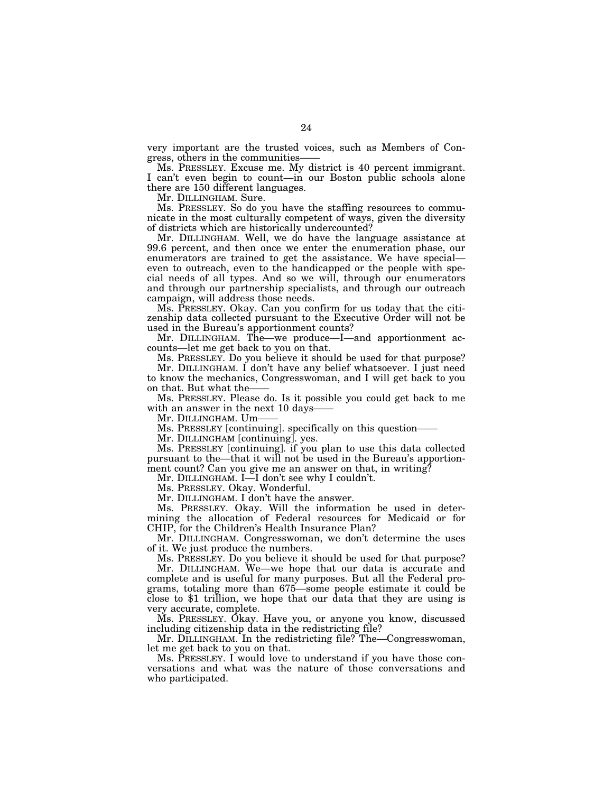very important are the trusted voices, such as Members of Congress, others in the communities——

Ms. PRESSLEY. Excuse me. My district is 40 percent immigrant. I can't even begin to count—in our Boston public schools alone there are 150 different languages.

Mr. DILLINGHAM. Sure.

Ms. PRESSLEY. So do you have the staffing resources to communicate in the most culturally competent of ways, given the diversity of districts which are historically undercounted?

Mr. DILLINGHAM. Well, we do have the language assistance at 99.6 percent, and then once we enter the enumeration phase, our enumerators are trained to get the assistance. We have special even to outreach, even to the handicapped or the people with special needs of all types. And so we will, through our enumerators and through our partnership specialists, and through our outreach campaign, will address those needs.

Ms. PRESSLEY. Okay. Can you confirm for us today that the citizenship data collected pursuant to the Executive Order will not be used in the Bureau's apportionment counts?

Mr. DILLINGHAM. The—we produce—I—and apportionment accounts—let me get back to you on that.

Ms. PRESSLEY. Do you believe it should be used for that purpose? Mr. DILLINGHAM. I don't have any belief whatsoever. I just need to know the mechanics, Congresswoman, and I will get back to you on that. But what the-

Ms. PRESSLEY. Please do. Is it possible you could get back to me with an answer in the next 10 days

Mr. DILLINGHAM. Um-

Ms. PRESSLEY [continuing]. specifically on this question——

Mr. DILLINGHAM [continuing]. yes.

Ms. PRESSLEY [continuing]. if you plan to use this data collected pursuant to the—that it will not be used in the Bureau's apportionment count? Can you give me an answer on that, in writing?

Mr. DILLINGHAM. I—I don't see why I couldn't.

Ms. PRESSLEY. Okay. Wonderful.

Mr. DILLINGHAM. I don't have the answer.

Ms. PRESSLEY. Okay. Will the information be used in determining the allocation of Federal resources for Medicaid or for CHIP, for the Children's Health Insurance Plan?

Mr. DILLINGHAM. Congresswoman, we don't determine the uses of it. We just produce the numbers.

Ms. PRESSLEY. Do you believe it should be used for that purpose?

Mr. DILLINGHAM. We—we hope that our data is accurate and complete and is useful for many purposes. But all the Federal programs, totaling more than 675—some people estimate it could be close to \$1 trillion, we hope that our data that they are using is very accurate, complete.

Ms. PRESSLEY. Okay. Have you, or anyone you know, discussed including citizenship data in the redistricting file?

Mr. DILLINGHAM. In the redistricting file? The—Congresswoman, let me get back to you on that.

Ms. PRESSLEY. I would love to understand if you have those conversations and what was the nature of those conversations and who participated.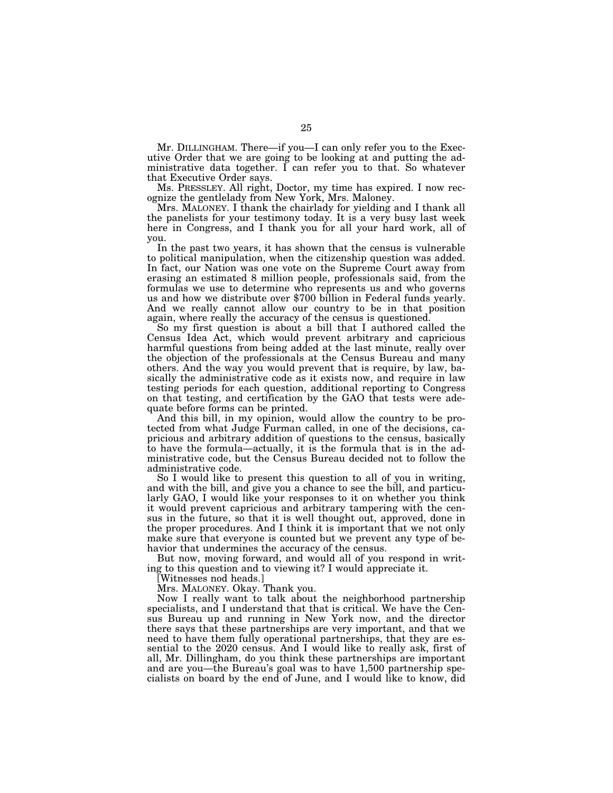Mr. DILLINGHAM. There—if you—I can only refer you to the Executive Order that we are going to be looking at and putting the administrative data together. I can refer you to that. So whatever that Executive Order says.

Ms. PRESSLEY. All right, Doctor, my time has expired. I now recognize the gentlelady from New York, Mrs. Maloney.

Mrs. MALONEY. I thank the chairlady for yielding and I thank all the panelists for your testimony today. It is a very busy last week here in Congress, and I thank you for all your hard work, all of you.

In the past two years, it has shown that the census is vulnerable to political manipulation, when the citizenship question was added. In fact, our Nation was one vote on the Supreme Court away from erasing an estimated 8 million people, professionals said, from the formulas we use to determine who represents us and who governs us and how we distribute over \$700 billion in Federal funds yearly. And we really cannot allow our country to be in that position again, where really the accuracy of the census is questioned.

So my first question is about a bill that I authored called the Census Idea Act, which would prevent arbitrary and capricious harmful questions from being added at the last minute, really over the objection of the professionals at the Census Bureau and many others. And the way you would prevent that is require, by law, basically the administrative code as it exists now, and require in law testing periods for each question, additional reporting to Congress on that testing, and certification by the GAO that tests were adequate before forms can be printed.

And this bill, in my opinion, would allow the country to be protected from what Judge Furman called, in one of the decisions, capricious and arbitrary addition of questions to the census, basically to have the formula—actually, it is the formula that is in the administrative code, but the Census Bureau decided not to follow the administrative code.

So I would like to present this question to all of you in writing, and with the bill, and give you a chance to see the bill, and particularly GAO, I would like your responses to it on whether you think it would prevent capricious and arbitrary tampering with the census in the future, so that it is well thought out, approved, done in the proper procedures. And I think it is important that we not only make sure that everyone is counted but we prevent any type of behavior that undermines the accuracy of the census.

But now, moving forward, and would all of you respond in writing to this question and to viewing it? I would appreciate it.

[Witnesses nod heads.]

Mrs. MALONEY. Okay. Thank you.

Now I really want to talk about the neighborhood partnership specialists, and I understand that that is critical. We have the Census Bureau up and running in New York now, and the director there says that these partnerships are very important, and that we need to have them fully operational partnerships, that they are essential to the 2020 census. And I would like to really ask, first of all, Mr. Dillingham, do you think these partnerships are important and are you—the Bureau's goal was to have 1,500 partnership specialists on board by the end of June, and I would like to know, did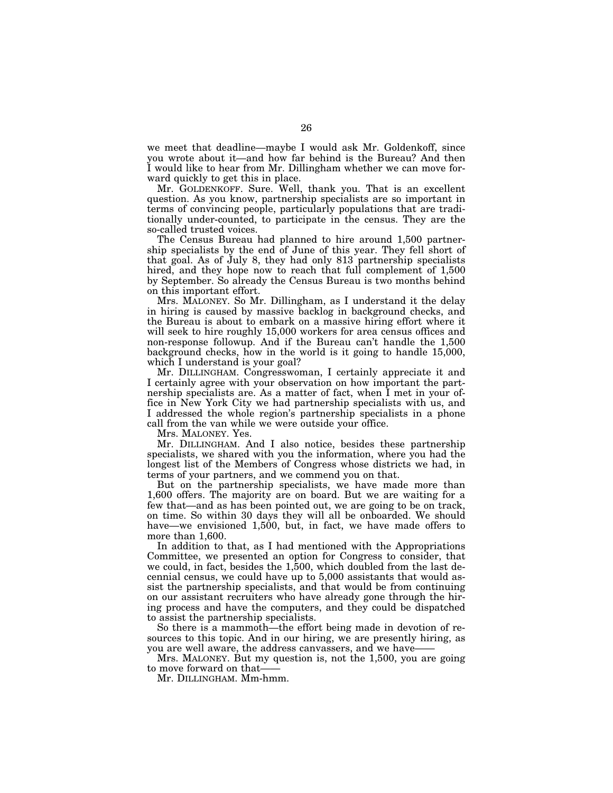we meet that deadline—maybe I would ask Mr. Goldenkoff, since you wrote about it—and how far behind is the Bureau? And then I would like to hear from Mr. Dillingham whether we can move forward quickly to get this in place.

Mr. GOLDENKOFF. Sure. Well, thank you. That is an excellent question. As you know, partnership specialists are so important in terms of convincing people, particularly populations that are traditionally under-counted, to participate in the census. They are the so-called trusted voices.

The Census Bureau had planned to hire around 1,500 partnership specialists by the end of June of this year. They fell short of that goal. As of July 8, they had only 813 partnership specialists hired, and they hope now to reach that full complement of  $1,500$ by September. So already the Census Bureau is two months behind on this important effort.

Mrs. MALONEY. So Mr. Dillingham, as I understand it the delay in hiring is caused by massive backlog in background checks, and the Bureau is about to embark on a massive hiring effort where it will seek to hire roughly 15,000 workers for area census offices and non-response followup. And if the Bureau can't handle the 1,500 background checks, how in the world is it going to handle 15,000, which I understand is your goal?

Mr. DILLINGHAM. Congresswoman, I certainly appreciate it and I certainly agree with your observation on how important the partnership specialists are. As a matter of fact, when I met in your office in New York City we had partnership specialists with us, and I addressed the whole region's partnership specialists in a phone call from the van while we were outside your office.

Mrs. MALONEY. Yes.

Mr. DILLINGHAM. And I also notice, besides these partnership specialists, we shared with you the information, where you had the longest list of the Members of Congress whose districts we had, in terms of your partners, and we commend you on that.

But on the partnership specialists, we have made more than 1,600 offers. The majority are on board. But we are waiting for a few that—and as has been pointed out, we are going to be on track, on time. So within 30 days they will all be onboarded. We should have—we envisioned 1,500, but, in fact, we have made offers to more than 1,600.

In addition to that, as I had mentioned with the Appropriations Committee, we presented an option for Congress to consider, that we could, in fact, besides the 1,500, which doubled from the last decennial census, we could have up to 5,000 assistants that would assist the partnership specialists, and that would be from continuing on our assistant recruiters who have already gone through the hiring process and have the computers, and they could be dispatched to assist the partnership specialists.

So there is a mammoth—the effort being made in devotion of resources to this topic. And in our hiring, we are presently hiring, as you are well aware, the address canvassers, and we have-

Mrs. MALONEY. But my question is, not the 1,500, you are going to move forward on that-

Mr. DILLINGHAM. Mm-hmm.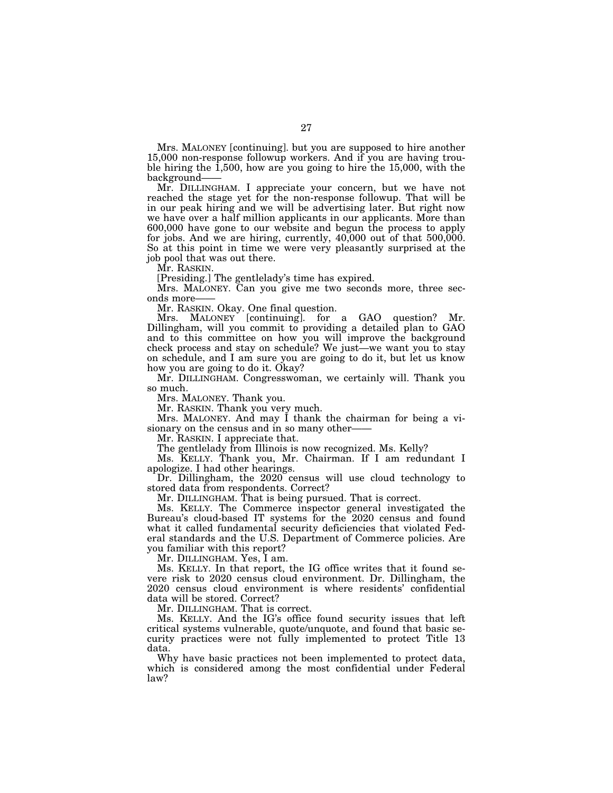Mrs. MALONEY [continuing]. but you are supposed to hire another 15,000 non-response followup workers. And if you are having trouble hiring the 1,500, how are you going to hire the 15,000, with the background——

Mr. DILLINGHAM. I appreciate your concern, but we have not reached the stage yet for the non-response followup. That will be in our peak hiring and we will be advertising later. But right now we have over a half million applicants in our applicants. More than 600,000 have gone to our website and begun the process to apply for jobs. And we are hiring, currently,  $40,000$  out of that  $500,000$ . So at this point in time we were very pleasantly surprised at the job pool that was out there.

Mr. RASKIN.

[Presiding.] The gentlelady's time has expired.

Mrs. MALONEY. Can you give me two seconds more, three seconds more-

Mr. RASKIN. Okay. One final question.

Mrs. MALONEY [continuing]. for a GAO question? Mr. Dillingham, will you commit to providing a detailed plan to GAO and to this committee on how you will improve the background check process and stay on schedule? We just—we want you to stay on schedule, and I am sure you are going to do it, but let us know how you are going to do it. Okay?

Mr. DILLINGHAM. Congresswoman, we certainly will. Thank you so much.

Mrs. MALONEY. Thank you.

Mr. RASKIN. Thank you very much.

Mrs. MALONEY. And may I thank the chairman for being a visionary on the census and in so many other-

Mr. RASKIN. I appreciate that.

The gentlelady from Illinois is now recognized. Ms. Kelly?

Ms. KELLY. Thank you, Mr. Chairman. If I am redundant I apologize. I had other hearings.

Dr. Dillingham, the 2020 census will use cloud technology to stored data from respondents. Correct?

Mr. DILLINGHAM. That is being pursued. That is correct.

Ms. KELLY. The Commerce inspector general investigated the Bureau's cloud-based IT systems for the 2020 census and found what it called fundamental security deficiencies that violated Federal standards and the U.S. Department of Commerce policies. Are you familiar with this report?

Mr. DILLINGHAM. Yes, I am.

Ms. KELLY. In that report, the IG office writes that it found severe risk to 2020 census cloud environment. Dr. Dillingham, the 2020 census cloud environment is where residents' confidential data will be stored. Correct?

Mr. DILLINGHAM. That is correct.

Ms. KELLY. And the IG's office found security issues that left critical systems vulnerable, quote/unquote, and found that basic security practices were not fully implemented to protect Title 13 data.

Why have basic practices not been implemented to protect data, which is considered among the most confidential under Federal law?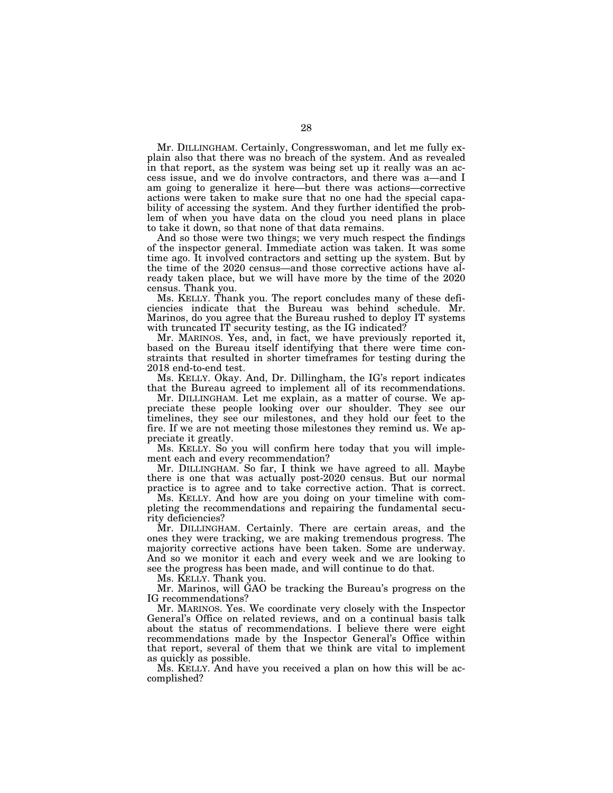Mr. DILLINGHAM. Certainly, Congresswoman, and let me fully explain also that there was no breach of the system. And as revealed in that report, as the system was being set up it really was an access issue, and we do involve contractors, and there was a—and I am going to generalize it here—but there was actions—corrective actions were taken to make sure that no one had the special capability of accessing the system. And they further identified the problem of when you have data on the cloud you need plans in place to take it down, so that none of that data remains.

And so those were two things; we very much respect the findings of the inspector general. Immediate action was taken. It was some time ago. It involved contractors and setting up the system. But by the time of the 2020 census—and those corrective actions have already taken place, but we will have more by the time of the 2020 census. Thank you.

Ms. KELLY. Thank you. The report concludes many of these deficiencies indicate that the Bureau was behind schedule. Mr. Marinos, do you agree that the Bureau rushed to deploy IT systems with truncated IT security testing, as the IG indicated?

Mr. MARINOS. Yes, and, in fact, we have previously reported it, based on the Bureau itself identifying that there were time constraints that resulted in shorter timeframes for testing during the 2018 end-to-end test.

Ms. KELLY. Okay. And, Dr. Dillingham, the IG's report indicates that the Bureau agreed to implement all of its recommendations.

Mr. DILLINGHAM. Let me explain, as a matter of course. We appreciate these people looking over our shoulder. They see our timelines, they see our milestones, and they hold our feet to the fire. If we are not meeting those milestones they remind us. We appreciate it greatly.

Ms. KELLY. So you will confirm here today that you will implement each and every recommendation?

Mr. DILLINGHAM. So far, I think we have agreed to all. Maybe there is one that was actually post-2020 census. But our normal practice is to agree and to take corrective action. That is correct.

Ms. KELLY. And how are you doing on your timeline with completing the recommendations and repairing the fundamental security deficiencies?

Mr. DILLINGHAM. Certainly. There are certain areas, and the ones they were tracking, we are making tremendous progress. The majority corrective actions have been taken. Some are underway. And so we monitor it each and every week and we are looking to see the progress has been made, and will continue to do that.

Ms. KELLY. Thank you.

Mr. Marinos, will GAO be tracking the Bureau's progress on the IG recommendations?

Mr. MARINOS. Yes. We coordinate very closely with the Inspector General's Office on related reviews, and on a continual basis talk about the status of recommendations. I believe there were eight recommendations made by the Inspector General's Office within that report, several of them that we think are vital to implement as quickly as possible.

Ms. KELLY. And have you received a plan on how this will be accomplished?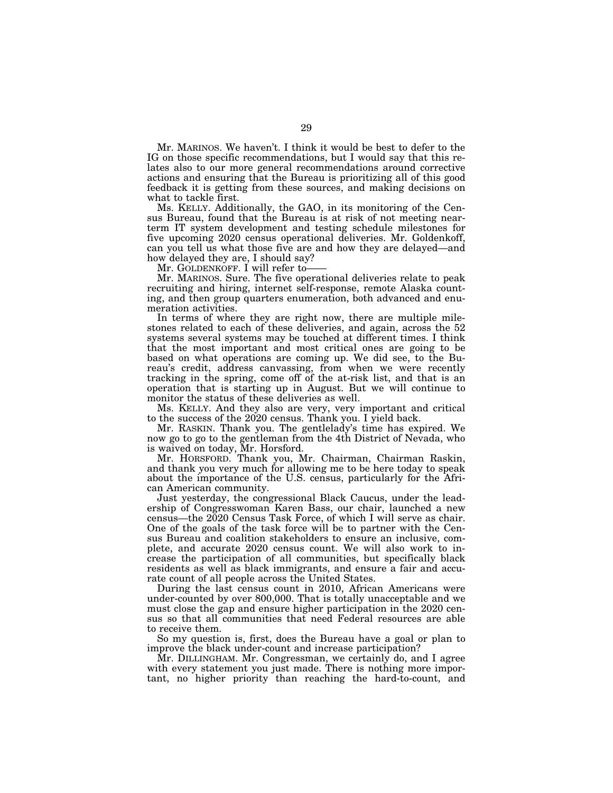Mr. MARINOS. We haven't. I think it would be best to defer to the IG on those specific recommendations, but I would say that this relates also to our more general recommendations around corrective actions and ensuring that the Bureau is prioritizing all of this good feedback it is getting from these sources, and making decisions on what to tackle first.

Ms. KELLY. Additionally, the GAO, in its monitoring of the Census Bureau, found that the Bureau is at risk of not meeting nearterm IT system development and testing schedule milestones for five upcoming 2020 census operational deliveries. Mr. Goldenkoff, can you tell us what those five are and how they are delayed—and how delayed they are, I should say?

Mr. GOLDENKOFF. I will refer to-

Mr. MARINOS. Sure. The five operational deliveries relate to peak recruiting and hiring, internet self-response, remote Alaska counting, and then group quarters enumeration, both advanced and enumeration activities.

In terms of where they are right now, there are multiple milestones related to each of these deliveries, and again, across the 52 systems several systems may be touched at different times. I think that the most important and most critical ones are going to be based on what operations are coming up. We did see, to the Bureau's credit, address canvassing, from when we were recently tracking in the spring, come off of the at-risk list, and that is an operation that is starting up in August. But we will continue to monitor the status of these deliveries as well.

Ms. KELLY. And they also are very, very important and critical to the success of the 2020 census. Thank you. I yield back.

Mr. RASKIN. Thank you. The gentlelady's time has expired. We now go to go to the gentleman from the 4th District of Nevada, who is waived on today, Mr. Horsford.

Mr. HORSFORD. Thank you, Mr. Chairman, Chairman Raskin, and thank you very much for allowing me to be here today to speak about the importance of the U.S. census, particularly for the African American community.

Just yesterday, the congressional Black Caucus, under the leadership of Congresswoman Karen Bass, our chair, launched a new census—the 2020 Census Task Force, of which I will serve as chair. One of the goals of the task force will be to partner with the Census Bureau and coalition stakeholders to ensure an inclusive, complete, and accurate 2020 census count. We will also work to increase the participation of all communities, but specifically black residents as well as black immigrants, and ensure a fair and accurate count of all people across the United States.

During the last census count in 2010, African Americans were under-counted by over 800,000. That is totally unacceptable and we must close the gap and ensure higher participation in the 2020 census so that all communities that need Federal resources are able to receive them.

So my question is, first, does the Bureau have a goal or plan to improve the black under-count and increase participation?

Mr. DILLINGHAM. Mr. Congressman, we certainly do, and I agree with every statement you just made. There is nothing more important, no higher priority than reaching the hard-to-count, and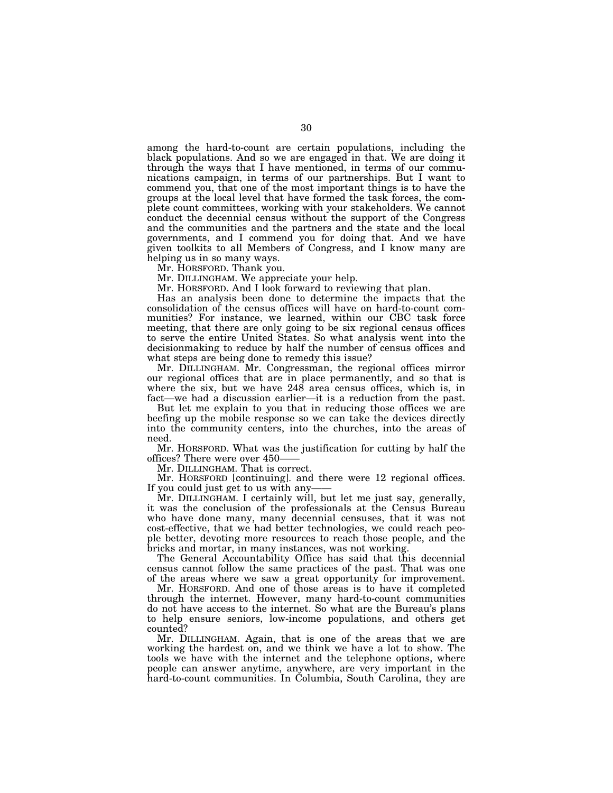among the hard-to-count are certain populations, including the black populations. And so we are engaged in that. We are doing it through the ways that I have mentioned, in terms of our communications campaign, in terms of our partnerships. But I want to commend you, that one of the most important things is to have the groups at the local level that have formed the task forces, the complete count committees, working with your stakeholders. We cannot conduct the decennial census without the support of the Congress and the communities and the partners and the state and the local governments, and I commend you for doing that. And we have given toolkits to all Members of Congress, and I know many are helping us in so many ways.

Mr. HORSFORD. Thank you.

Mr. DILLINGHAM. We appreciate your help.

Mr. HORSFORD. And I look forward to reviewing that plan.

Has an analysis been done to determine the impacts that the consolidation of the census offices will have on hard-to-count communities? For instance, we learned, within our CBC task force meeting, that there are only going to be six regional census offices to serve the entire United States. So what analysis went into the decisionmaking to reduce by half the number of census offices and what steps are being done to remedy this issue?

Mr. DILLINGHAM. Mr. Congressman, the regional offices mirror our regional offices that are in place permanently, and so that is where the six, but we have 248 area census offices, which is, in fact—we had a discussion earlier—it is a reduction from the past.

But let me explain to you that in reducing those offices we are beefing up the mobile response so we can take the devices directly into the community centers, into the churches, into the areas of need.

Mr. HORSFORD. What was the justification for cutting by half the offices? There were over 450——

Mr. DILLINGHAM. That is correct.

Mr. HORSFORD [continuing]. and there were 12 regional offices. If you could just get to us with any-

Mr. DILLINGHAM. I certainly will, but let me just say, generally, it was the conclusion of the professionals at the Census Bureau who have done many, many decennial censuses, that it was not cost-effective, that we had better technologies, we could reach people better, devoting more resources to reach those people, and the bricks and mortar, in many instances, was not working.

The General Accountability Office has said that this decennial census cannot follow the same practices of the past. That was one of the areas where we saw a great opportunity for improvement.

Mr. HORSFORD. And one of those areas is to have it completed through the internet. However, many hard-to-count communities do not have access to the internet. So what are the Bureau's plans to help ensure seniors, low-income populations, and others get counted?

Mr. DILLINGHAM. Again, that is one of the areas that we are working the hardest on, and we think we have a lot to show. The tools we have with the internet and the telephone options, where people can answer anytime, anywhere, are very important in the hard-to-count communities. In Columbia, South Carolina, they are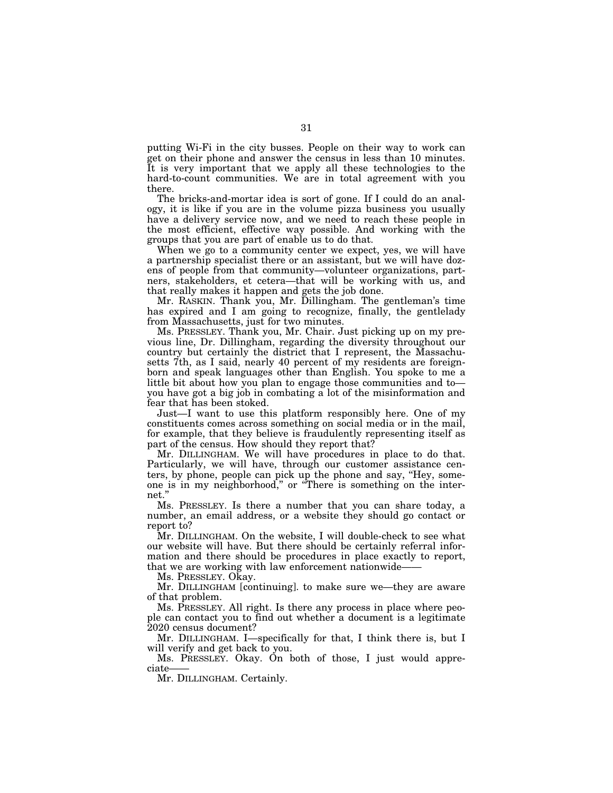putting Wi-Fi in the city busses. People on their way to work can get on their phone and answer the census in less than 10 minutes. It is very important that we apply all these technologies to the hard-to-count communities. We are in total agreement with you there.

The bricks-and-mortar idea is sort of gone. If I could do an analogy, it is like if you are in the volume pizza business you usually have a delivery service now, and we need to reach these people in the most efficient, effective way possible. And working with the groups that you are part of enable us to do that.

When we go to a community center we expect, yes, we will have a partnership specialist there or an assistant, but we will have dozens of people from that community—volunteer organizations, partners, stakeholders, et cetera—that will be working with us, and that really makes it happen and gets the job done.

Mr. RASKIN. Thank you, Mr. Dillingham. The gentleman's time has expired and I am going to recognize, finally, the gentlelady from Massachusetts, just for two minutes.

Ms. PRESSLEY. Thank you, Mr. Chair. Just picking up on my previous line, Dr. Dillingham, regarding the diversity throughout our country but certainly the district that I represent, the Massachusetts 7th, as I said, nearly 40 percent of my residents are foreignborn and speak languages other than English. You spoke to me a little bit about how you plan to engage those communities and to you have got a big job in combating a lot of the misinformation and fear that has been stoked.

Just—I want to use this platform responsibly here. One of my constituents comes across something on social media or in the mail, for example, that they believe is fraudulently representing itself as part of the census. How should they report that?

Mr. DILLINGHAM. We will have procedures in place to do that. Particularly, we will have, through our customer assistance centers, by phone, people can pick up the phone and say, ''Hey, someone is in my neighborhood,'' or ''There is something on the internet.''

Ms. PRESSLEY. Is there a number that you can share today, a number, an email address, or a website they should go contact or report to?

Mr. DILLINGHAM. On the website, I will double-check to see what our website will have. But there should be certainly referral information and there should be procedures in place exactly to report, that we are working with law enforcement nationwide-

Ms. PRESSLEY. OKay.

Mr. DILLINGHAM [continuing]. to make sure we—they are aware of that problem.

Ms. PRESSLEY. All right. Is there any process in place where people can contact you to find out whether a document is a legitimate 2020 census document?

Mr. DILLINGHAM. I—specifically for that, I think there is, but I will verify and get back to you.

Ms. PRESSLEY. Okay. On both of those, I just would appreciate——

Mr. DILLINGHAM. Certainly.